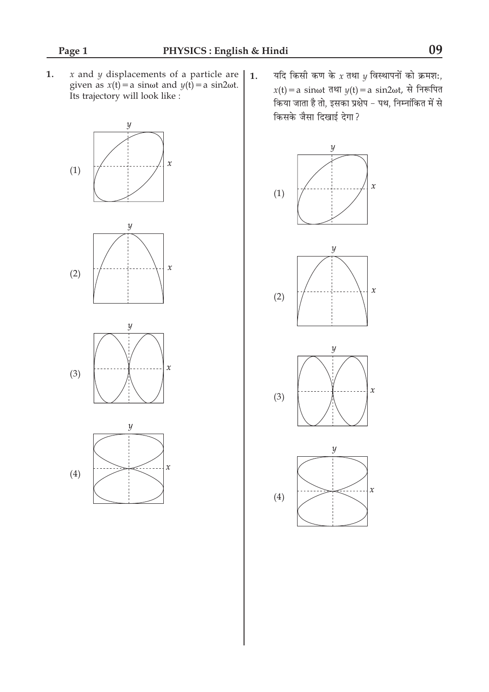$x$  and  $y$  displacements of a particle are  $1.$ given as  $x(t) = a \sin \omega t$  and  $y(t) = a \sin 2\omega t$ . Its trajectory will look like :



यदि किसी कण के  $x$  तथा  $y$  विस्थापनों को क्रमशः,  $1.$ x(t) = a sinot तथा  $y(t)$  = a sin2ot, से निरूपित किया जाता है तो, इसका प्रक्षेप - पथ, निम्नांकित में से किसके जैसा दिखाई देगा?

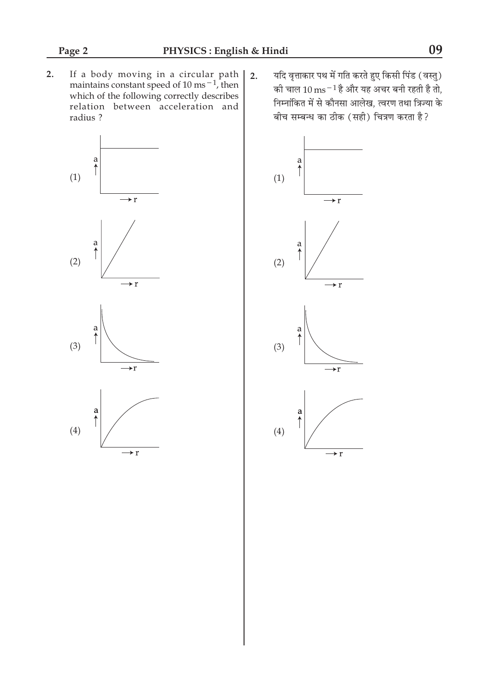If a body moving in a circular path<br>maintains constant speed of  $10 \text{ ms}^{-1}$ , then<br>which of the following correctly describes  $2.$ relation between acceleration and radius ?







यदि वृत्ताकार पथ में गति करते हुए किसी पिंड (वस्तु)  $2.$ की चाल 10 ms $^{-1}$ है और यह अचर बनी रहती है तो, निम्नांकित में से कौनसा आलेख, त्वरण तथा त्रिज्या के बीच सम्बन्ध का ठीक (सही) चित्रण करता है?

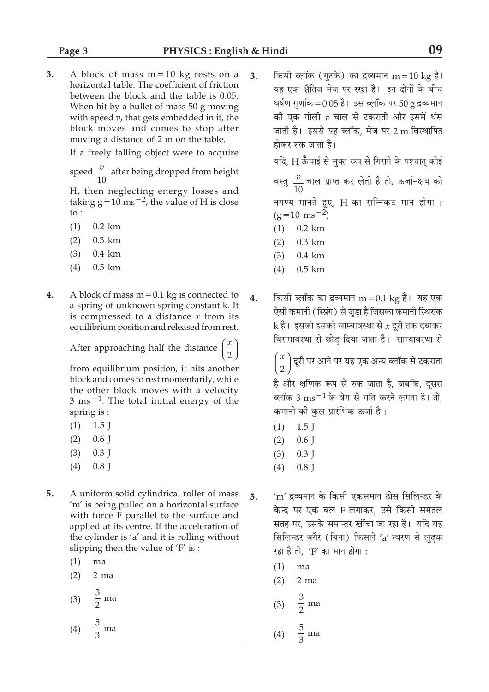$3<sub>1</sub>$ A block of mass  $m = 10$  kg rests on a horizontal table. The coefficient of friction between the block and the table is 0.05. When hit by a bullet of mass 50 g moving with speed  $v$ , that gets embedded in it, the block moves and comes to stop after moving a distance of 2 m on the table.

If a freely falling object were to acquire

speed  $\frac{v}{10}$  after being dropped from height

H, then neglecting energy losses and taking  $g = 10$  ms<sup> $-2$ </sup>, the value of H is close to :

- $0.2$  km  $(1)$
- $(2)$  $0.3$  km
- $(3)$  $0.4 \text{ km}$
- $(4)$  $0.5$  km
- $\overline{4}$ . A block of mass  $m = 0.1$  kg is connected to a spring of unknown spring constant k. It is compressed to a distance  $x$  from its equilibrium position and released from rest.

After approaching half the distance

from equilibrium position, it hits another block and comes to rest momentarily, while the other block moves with a velocity  $3 \text{ ms}^{-1}$ . The total initial energy of the spring is :

- $(1)$  $1.5$  J
- $(2)$  $0.6$  J
- $(3)$  $0.3$  J
- $(4)$  $0.8$  J
- 5. A uniform solid cylindrical roller of mass 'm' is being pulled on a horizontal surface with force F parallel to the surface and applied at its centre. If the acceleration of the cylinder is 'a' and it is rolling without slipping then the value of 'F' is :
	- $(1)$ ma
	- $(2)$  $2<sub>ma</sub>$
	- $\frac{3}{2}$  ma  $(3)$
	- $\frac{5}{3}$  ma  $(4)$

किसी ब्लॉक (गुटके) का द्रव्यमान  $m = 10$  kg है।  $\overline{3}$ . यह एक क्षैतिज मेज पर रखा है। इन दोनों के बीच घर्षण गणांक =  $0.05$  है। इस ब्लॉक पर  $50$  g द्रव्यमान की एक गोली  $v$  चाल से टकराती और इसमें धंस जाती है। इससे यह ब्लॉक, मेज पर 2 m विस्थापित होकर रुक जाता है।

यदि. H ऊँचाई से मक्त रूप से गिराने के पश्चात कोई

वस्तु  $\frac{v}{10}$  चाल प्राप्त कर लेती है तो, ऊर्जा-क्षय को नगण्य मानते हुए, H का सन्निकट मान होगा :  $(g=10 \text{ ms}^{-2})$ 

- $0.2 \text{ km}$  $(1)$
- $(2)$  $0.3$  km
- $(3)$  $0.4 \text{ km}$
- $(4)$  $0.5$  km
- किसी ब्लॉक का द्रव्यमान m = 0.1 kg है। यह एक 4. ऐसी कमानी ( स्प्रिंग) से जुडा है जिसका कमानी स्थिरांक  ${\bf k}$  है। इसको इसकी साम्यावस्था से  $x$  दूरी तक दबाकर विरामावस्था से छोड दिया जाता है। साम्यावस्था से

 $\left(\frac{x}{2}\right)$ दूरी पर आने पर यह एक अन्य ब्लॉक से टकराता है और क्षणिक रूप से रुक जाता है, जबकि, दूसरा

ब्लॉक 3  $\text{ms}^{-1}$ के वेग से गति करने लगता है। तो, कमानी की कुल प्रारंभिक ऊर्जा है:

- $1.5$  J  $(1)$
- $(2)$  $0.6$  J
- $(3)$  $0.3$  J
- $(4)$  $0.8$  I
- 'm' द्रव्यमान के किसी एकसमान ठोस सिलिन्डर के 5. केन्द्र पर एक बल F लगाकर. उसे किसी समतल सतह पर, उसके समान्तर खींचा जा रहा है। यदि यह सिलिन्डर बगैर (बिना) फिसले 'a' त्वरण से लुढ़क रहा है तो, 'F' का मान होगा :
	- $(1)$ ma
	- $2$  ma  $(2)$
	- $\frac{3}{2}$  ma  $(3)$
	- $rac{5}{3}$  ma  $(4)$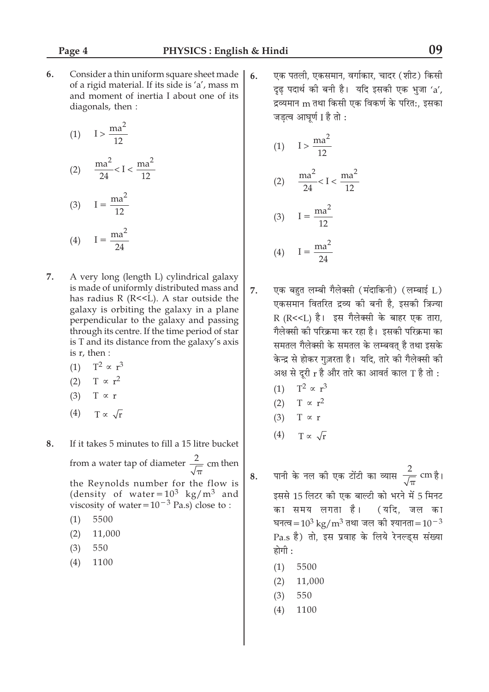6. Consider a thin uniform square sheet made of a rigid material. If its side is 'a', mass m and moment of inertia I about one of its diagonals, then:

$$
(1) \qquad I > \frac{\text{ma}^2}{12}
$$

$$
(2) \quad \frac{\text{ma}^2}{24} < I < \frac{\text{ma}^2}{12}
$$

$$
(3) \qquad I = \frac{ma^2}{12}
$$
\n
$$
ma^2
$$

$$
(4) \qquad I = \frac{ma}{24}
$$

- $\overline{7}$ . A very long (length L) cylindrical galaxy is made of uniformly distributed mass and has radius R (R<<L). A star outside the galaxy is orbiting the galaxy in a plane perpendicular to the galaxy and passing through its centre. If the time period of star is T and its distance from the galaxy's axis is r, then :
	- (1)  $T^2 \propto r^3$
	- (2)  $T \propto r^2$
	- (3)  $T \propto r$
	- $(4)$  $T \propto \sqrt{r}$

8. If it takes 5 minutes to fill a 15 litre bucket from a water tap of diameter  $\frac{2}{\sqrt{\pi}}$  cm then the Reynolds number for the flow is (density of water= $10^3$  kg/m<sup>3</sup> and viscosity of water= $10^{-3}$  Pa.s) close to :

- 5500  $(1)$
- $(2)$ 11,000
- $(3)$ 550
- $(4)$ 1100

एक पतली. एकसमान, वर्गाकार, चादर (शीट) किसी  $6.$ दढ पदार्थ की बनी है। यदि इसकी एक भजा 'a'. द्रव्यमान m तथा किसी एक विकर्ण के परित:, इसका जड़त्व आघूर्ण I है तो :

(1) 
$$
I > \frac{ma^2}{12}
$$
  
\n(2)  $\frac{ma^2}{24} < I < \frac{ma^2}{12}$   
\n(3)  $I = \frac{ma^2}{12}$   
\n(4)  $I = \frac{ma^2}{24}$ 

 $24$ 

- एक बहुत लम्बी गैलेक्सी (मंदाकिनी) (लम्बाई L) 7. एकसमान वितरित द्रव्य की बनी है. इसकी त्रिज्या R (R<<L) है। इस गैलेक्सी के बाहर एक तारा, गैलेक्सी की परिक्रमा कर रहा है। इसकी परिक्रमा का समतल गैलेक्सी के समतल के लम्बवत है तथा इसके केन्द्र से होकर गुज़रता है। यदि, तारे की गैलेक्सी की अक्ष से दूरी  $r$  है और तारे का आवर्त काल T है तो :
	- (1)  $T^2 \propto r^3$
	- (2)  $T \propto r^2$
	- $(3)$  T  $\propto$  r
	- $T \propto \sqrt{r}$  $(4)$
- पानी के नल की एक टोंटी का व्यास $\frac{2}{\sqrt{\pi}}$  cm है। 8. इससे 15 लिटर की एक बाल्टी को भरने में 5 मिनट का समय लगता है। (यदि. जल का घनत्व= $10^3$  kg/m<sup>3</sup> तथा जल की श्यानता= $10^{-3}$ Pa.s है) तो, इस प्रवाह के लिये रेनल्डस संख्या होगी :
	- $(1)$ 5500
	- $(2)$ 11,000
	- $(3)$ 550
	- 1100  $(4)$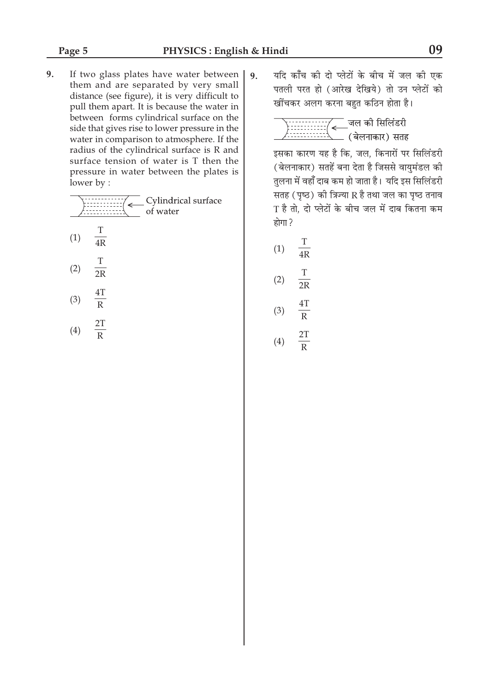**9.** If two glass plates have water between them and are separated by very small distance (see figure), it is very difficult to pull them apart. It is because the water in between forms cylindrical surface on the side that gives rise to lower pressure in the water in comparison to atmosphere. If the radius of the cylindrical surface is R and surface tension of water is T then the pressure in water between the plates is lower by :

|     |         | Cylindrical surface<br>of water |
|-----|---------|---------------------------------|
| (1) | Т<br>4R |                                 |
| (2) | т<br>2R |                                 |

- (3) 4T  $\overline{R}$
- (4) 2T R

9. यदि काँच की दो प्लेटों के बीच में जल की एक पतली परत हो (आरेख देखिये) तो उन प्लेटों को खींचकर अलग करना बहुत कठिन होता है।

\_ जल की सिलिंडरी<br>\_ (बेलनाकार) सतह  $\leftarrow$ 

इसका कारण यह है कि, जल, किनारों पर सिलिंडरी ( बेलनाकार) सतहें बना देता है जिससे वायमंडल की तुलना में वहाँ दाब कम हो जाता है। यदि इस सिलिंडरी सतह (पृष्ठ) की त्रिज्या  $R$  है तथा जल का पृष्ठ तनाव  $T$  है तो, दो प्लेटों के बीच जल में दाब कितना कम  $\overline{\text{b}}$ गा $\overline{\text{c}}$ 

(1) T 4R (2) T  $\overline{2R}$ (3) 4T

R

$$
(4) \quad \frac{2T}{R}
$$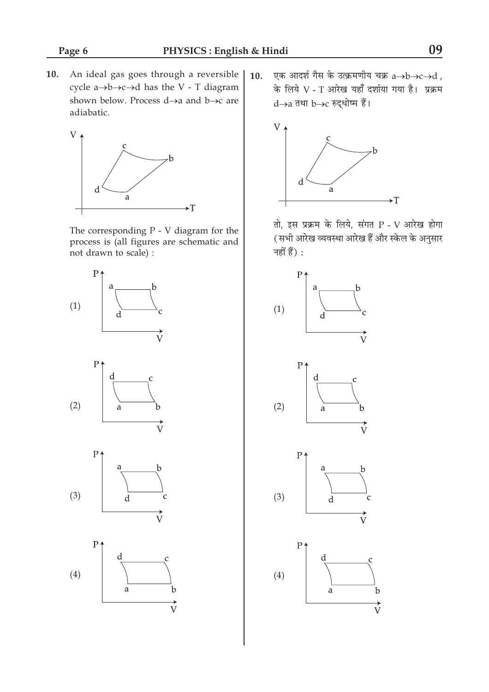10. An ideal gas goes through a reversible | cycle  $a \rightarrow b \rightarrow c \rightarrow d$  has the V - T diagram shown below. Process  $d \rightarrow a$  and  $b \rightarrow c$  are adiabatic.



The corresponding  $P - V$  diagram for the process is (all figures are schematic and not drawn to scale) :







एक आदर्श गैस के उत्क्रमणीय चक्र a $\rightarrow$ b $\rightarrow$ c $\rightarrow$ d,  $10.$ के लिये V - T आरेख यहाँ दर्शाया गया है। प्रक्रम d→a तथा b→c रुद्धोष्म हैं।



तो, इस प्रक्रम के लिये, संगत P - V आरेख होगा (सभी आरेख व्यवस्था आरेख हैं और स्केल के अनुसार नहीं हैं) :

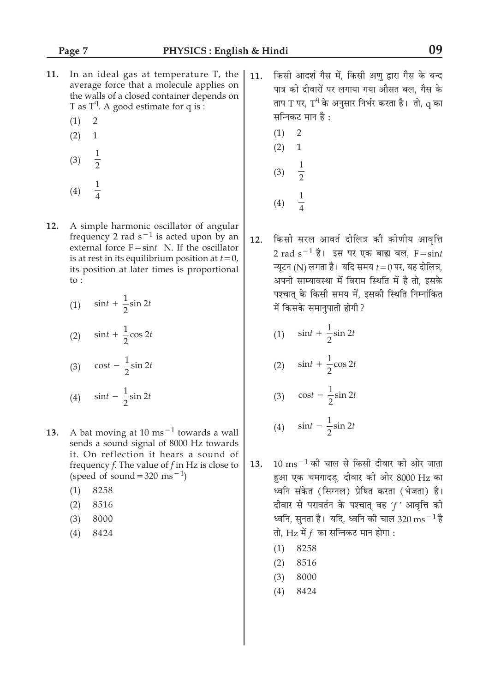- In an ideal gas at temperature T, the  $11.$ average force that a molecule applies on the walls of a closed container depends on T as  $T^q$ . A good estimate for q is:
	- $(1)$  $\overline{2}$
	- $(2)$  $\mathbf{1}$
	- $\frac{1}{2}$  $(3)$
	- $\frac{1}{4}$  $(4)$
- 12. A simple harmonic oscillator of angular frequency 2 rad  $s^{-1}$  is acted upon by an external force  $F = \sin t$  N. If the oscillator is at rest in its equilibrium position at  $t=0$ , its position at later times is proportional to :

(1) 
$$
\sin t + \frac{1}{2}\sin 2t
$$
  
(2) 
$$
\sin t + \frac{1}{2}\cos 2t
$$
  
(3) 
$$
\cos t - \frac{1}{2}\sin 2t
$$
  
(4) 
$$
\sin t - \frac{1}{2}\sin 2t
$$

- A bat moving at 10 ms<sup> $-1$ </sup> towards a wall 13. sends a sound signal of 8000 Hz towards it. On reflection it hears a sound of frequency  $f$ . The value of  $f$  in Hz is close to (speed of sound = 320 ms<sup>-1</sup>)
	- $(1)$ 8258
	- $(2)$ 8516
	- $(3)$ 8000
	- $(4)$ 8424
- किसी आदर्श गैस में. किसी अण द्वारा गैस के बन्द  $11.$ पात्र की दीवारों पर लगाया गया औसत बल. गैस के ताप T पर, T<sup>q</sup> के अनुसार निर्भर करता है। तो, q का सन्निकट मान है :
	- $(1)$  $\overline{2}$  $(2)$  $\mathbf{1}$  $(3)$  $\overline{2}$
	- $(4)$
- किसी सरल आवर्त दोलित्र की कोणीय आवृत्ति  $12.$ 2 rad s<sup>-1</sup> है। इस पर एक बाह्य बल, F=sint न्यटन (N) लगता है। यदि समय  $t = 0$  पर, यह दोलित्र, अपनी साम्यावस्था में विराम स्थिति में है तो, इसके पश्चात् के किसी समय में, इसकी स्थिति निम्नांकित में किसके समानुपाती होगी?
	- (1)  $\sin t + \frac{1}{2} \sin 2t$
	- (2)  $\sin t + \frac{1}{2} \cos 2t$
	- (3)  $\cos t \frac{1}{2} \sin 2t$
	- (4)  $\sin t \frac{1}{2} \sin 2t$
- $10 \text{ ms}^{-1}$  की चाल से किसी दीवार की ओर जाता 13. हुआ एक चमगादड, दीवार की ओर 8000 Hz का ध्वनि संकेत (सिग्नल) प्रेषित करता (भेजता) है। दीवार से परावर्तन के पश्चात वह 'f' आवृत्ति की र्ध्वनि, सुनता है। यदि, र्ध्वनि की चाल 320  $\mathrm{ms}^{-1}$ है तो, Hz में  $f$  का सन्निकट मान होगा :
	- $(1)$ 8258
	- $(2)$ 8516
	- 8000  $(3)$
	- $(4)$ 8424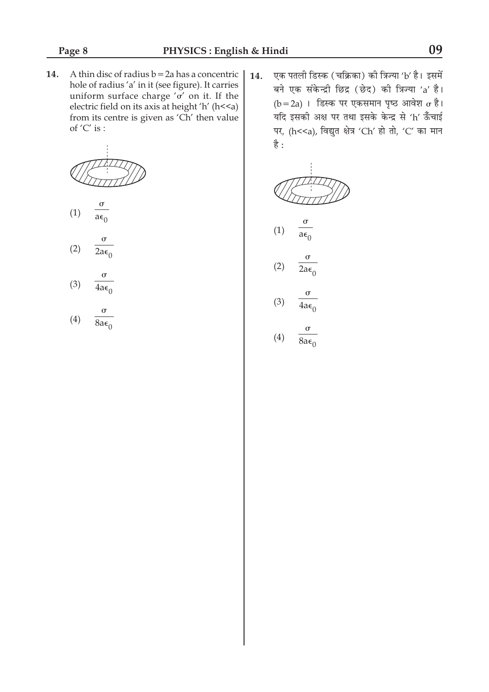14. A thin disc of radius  $b = 2a$  has a concentric hole of radius 'a' in it (see figure). It carries uniform surface charge ' $\sigma'$  on it. If the electric field on its axis at height 'h' (h<<a) from its centre is given as 'Ch' then value of  $'C'$  is :



 $\sigma$  $(1)$  $a\epsilon_0$ 

- $\sigma$  $(2)$  $2a\epsilon$
- $\sigma$  $(3)$  $4a\epsilon_0$
- $(4)$  $8a\epsilon_0$

एक पतली डिस्क (चक्रिका) की त्रिज्या 'b' है। इसमें 14. बने एक संकेन्द्री छिद्र (छेद) की त्रिज्या 'a' है।  $(b=2a)$ । डिस्क पर एकसमान पृष्ठ आवेश  $\sigma$  है। यदि इसकी अक्ष पर तथा इसके केन्द्र से 'h' ऊँचाई पर, (h<<a), विद्युत क्षेत्र 'Ch' हो तो, 'C' का मान है:

(1) 
$$
\frac{\sigma}{a\epsilon_0}
$$
  
(2)  $\frac{\sigma}{2a\epsilon_0}$ 

$$
(3) \quad \frac{\sigma}{4a\epsilon_0}
$$

$$
(4) \quad \frac{6}{8a\epsilon_0}
$$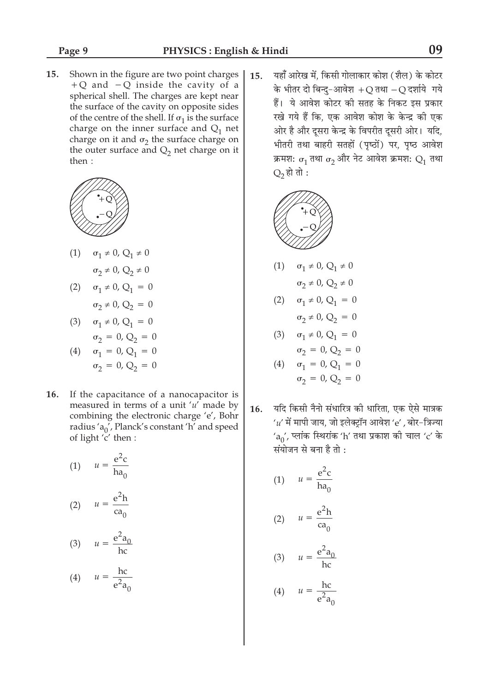Shown in the figure are two point charges  $15.$ +Q and  $-Q$  inside the cavity of a spherical shell. The charges are kept near the surface of the cavity on opposite sides of the centre of the shell. If  $\sigma_1$  is the surface charge on the inner surface and  $Q_1$  net charge on it and  $\sigma_2$  the surface charge on the outer surface and  $Q_2$  net charge on it then:



(1) 
$$
\sigma_1 \neq 0, Q_1 \neq 0
$$

$$
\sigma_2 \neq 0, Q_2 \neq 0
$$

(2) 
$$
\sigma_1 \neq 0, Q_1 = 0
$$
  
 $\sigma_2 \neq 0, Q_2 = 0$ 

(3)  $\sigma_1 \neq 0$ ,  $Q_1 = 0$  $\sigma_2 = 0, Q_2 = 0$ 

(4) 
$$
\sigma_1 = 0, Q_1 = 0
$$
  
 $\sigma_2 = 0, Q_2 = 0$ 

16. If the capacitance of a nanocapacitor is measured in terms of a unit ' $u'$  made by combining the electronic charge 'e', Bohr radius 'a<sub>0</sub>', Planck's constant 'h' and speed of light 'c' then :

(1) 
$$
u = \frac{e^2 c}{ha_0}
$$
  
(2) 
$$
u = \frac{e^2 h}{ca_0}
$$
  
(3) 
$$
u = \frac{e^2 a_0}{hc}
$$

$$
(4) \qquad u = \frac{hc}{e^2 a_0}
$$

यहाँ आरेख में. किसी गोलाकार कोश (शैल) के कोटर 15. के भीतर दो बिन्द-आवेश +O तथा -O दर्शाये गये हैं। ये आवेश कोटर की सतह के निकट इस प्रकार रखे गये हैं कि, एक आवेश कोश के केन्द्र की एक ओर है और दूसरा केन्द्र के विपरीत दूसरी ओर। यदि, भीतरी तथा बाहरी सतहों (पृष्ठों) पर, पृष्ठ आवेश क्रमश:  $\sigma_1$  तथा  $\sigma_2$  और नेट आवेश क्रमश:  $Q_1$  तथा  $Q_2$  हो तो :



(1) 
$$
\sigma_1 \neq 0
$$
,  $Q_1 \neq 0$   
\n $\sigma_2 \neq 0$ ,  $Q_2 \neq 0$   
\n(2)  $\sigma_1 \neq 0$ ,  $Q_1 = 0$   
\n $\sigma_2 \neq 0$ ,  $Q_2 = 0$   
\n(3)  $\sigma_1 \neq 0$ ,  $Q_1 = 0$   
\n $\sigma_2 = 0$ ,  $Q_2 = 0$   
\n(4)  $\sigma_1 = 0$ ,  $Q_1 = 0$   
\n $\sigma_2 = 0$ ,  $Q_2 = 0$ 

यदि किसी नैनो संधारित्र की धारिता, एक ऐसे मात्रक 16.  $u'$  में मापी जाय, जो इलेक्ट्रॉन आवेश 'e' , बोर-त्रिज्या  $a_0$ ', प्लांक स्थिरांक 'h' तथा प्रकाश की चाल 'c' के संयोजन से बना है तो :

(1) 
$$
u = \frac{e^2 c}{ha_0}
$$
  
(2) 
$$
u = \frac{e^2 h}{ca_0}
$$
  
(3) 
$$
u = \frac{e^2 a_0}{hc}
$$
  
(4) 
$$
u = \frac{hc}{e^2 a_0}
$$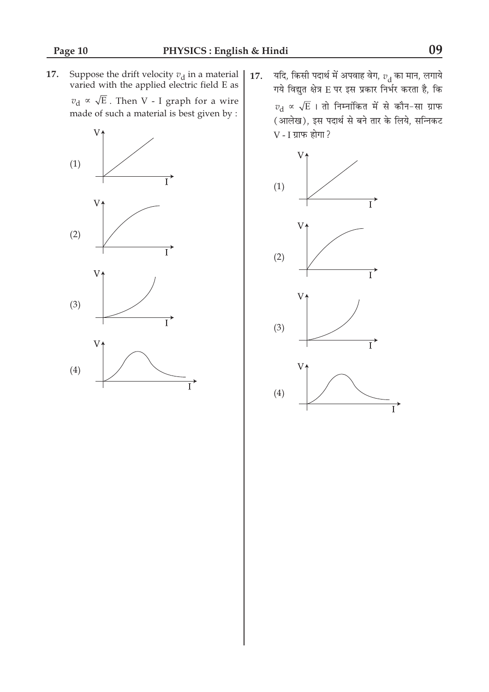Suppose the drift velocity  $v_{\rm d}$  in a material varied with the applied electric field E as 17.

 $v_{\rm d} \propto \sqrt{\mathrm{E}}$ . Then V - I graph for a wire made of such a material is best given by :



यदि, किसी पदार्थ में अपवाह वेग,  $v_{\rm d}$  का मान, लगाये<br>गये विद्युत क्षेत्र E पर इस प्रकार निर्भर करता है, कि 17.  $v_{\rm d}$   $\propto \sqrt{\rm E}$  । तो निम्नांकित में से कौन-सा ग्राफ (आलेख), इस पदार्थ से बने तार के लिये, सन्निकट  $V$  -  $I$  ग्राफ होगा?

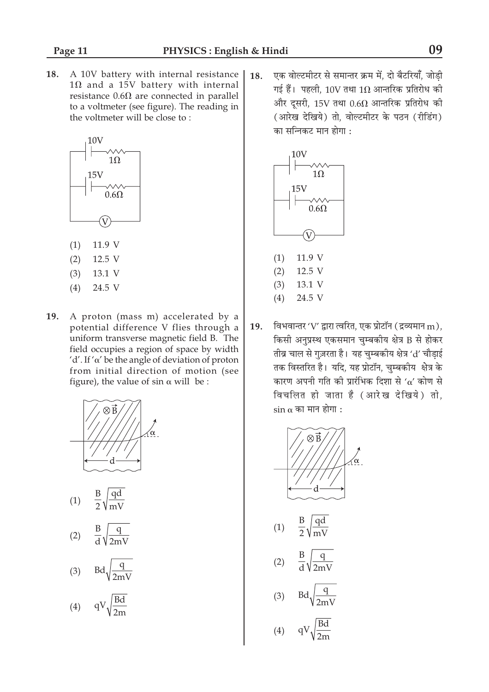18. A 10V battery with internal resistance  $1\Omega$  and a 15V battery with internal resistance  $0.6\Omega$  are connected in parallel to a voltmeter (see figure). The reading in the voltmeter will be close to:



- $(1)$ 11.9 V
- $(2)$ 12.5 V
- $(3)$ 13.1 V
- $(4)$ 24.5 V
- 19. A proton (mass m) accelerated by a potential difference V flies through a uniform transverse magnetic field B. The field occupies a region of space by width 'd'. If ' $\alpha$ ' be the angle of deviation of proton from initial direction of motion (see figure), the value of  $\sin \alpha$  will be :



- $(1)$
- $(2)$

$$
(3) \quad \text{Bd}\sqrt{\frac{q}{2mV}}
$$

$$
(4) \qquad qV \sqrt{\frac{Bd}{2m}}
$$

एक वोल्टमीटर से समान्तर क्रम में. दो बैटरियाँ. जोडी 18. गई हैं। पहली, 10V तथा 1 $\Omega$  आन्तरिक प्रतिरोध की और दूसरी, 15V तथा  $0.6\Omega$  आन्तरिक प्रतिरोध की (आरेख देखिये) तो, वोल्टमीटर के पठन (रीडिंग) का सन्निकट मान होगा :



विभवान्तर 'V' द्वारा त्वरित, एक प्रोटॉन (द्रव्यमान m), 19. किसी अनुप्रस्थ एकसमान चुम्बकीय क्षेत्र B से होकर तीव्र चाल से गुज़रता है। यह चुम्बकीय क्षेत्र 'd' चौड़ाई तक विस्तरित है। यदि, यह प्रोटॉन, चुम्बकीय क्षेत्र के कारण अपनी गति की प्रारंभिक दिशा से ' $\alpha'$  कोण से विचलित हो जाता है (आरेख देखिये) तो,  $\sin \alpha$  का मान होगा :

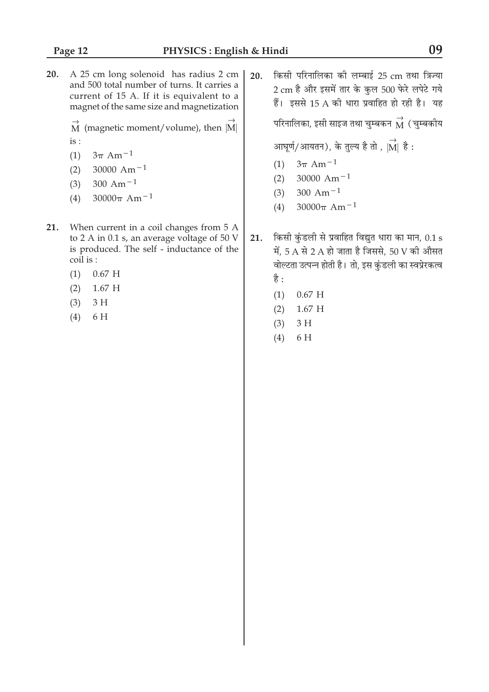20. A 25 cm long solenoid has radius 2 cm and 500 total number of turns. It carries a current of 15 A. If it is equivalent to a magnet of the same size and magnetization

> $\overrightarrow{M}$  (magnetic moment/volume), then  $\overrightarrow{M}$  $is:$

- $3\pi$  Am<sup>-1</sup>  $(1)$
- 30000 Am<sup> $-1$ </sup>  $(2)$
- 300 Am<sup> $-1$ </sup>  $(3)$
- $30000\pi$  Am<sup>-1</sup>  $(4)$
- 21. When current in a coil changes from 5 A to 2 A in 0.1 s, an average voltage of 50 V is produced. The self - inductance of the coil is :
	- $(1)$  $0.67$  H
	- $(2)$  $1.67$  H
	- $3H$  $(3)$
	- $(4)$ 6 H

किसी परिनालिका की लम्बाई 25 cm तथा त्रिज्या  $20.$ 2 cm है और इसमें तार के कुल 500 फेरे लपेटे गये हैं। इससे 15 A की धारा प्रवाहित हो रही है। यह परिनालिका, इसी साइज तथा चुम्बकन  $\stackrel{\rightarrow}{\rm M}$  ( चुम्बकीय

आघूर्ण/आयतन), के तुल्य है तो ,  $|\overrightarrow{M}|$  है:

- (1)  $3\pi$  Am<sup>-1</sup>
- 30000 Am<sup> $-1$ </sup>  $(2)$
- $(3)$ 300 Am<sup> $-1$ </sup>
- $30000\pi$  Am<sup>-1</sup>  $(4)$
- किसी कुंडली से प्रवाहित विद्युत धारा का मान, 0.1 s  $21.$ में, 5 A से 2 A हो जाता है जिससे, 50 V की औसत वोल्टता उत्पन्न होती है। तो, इस कुंडली का स्वप्रेरकत्व है :
	- $0.67$  H  $(1)$
	- $(2)$  $1.67$  H
	- $(3)$  $3H$
	- $(4)$ 6H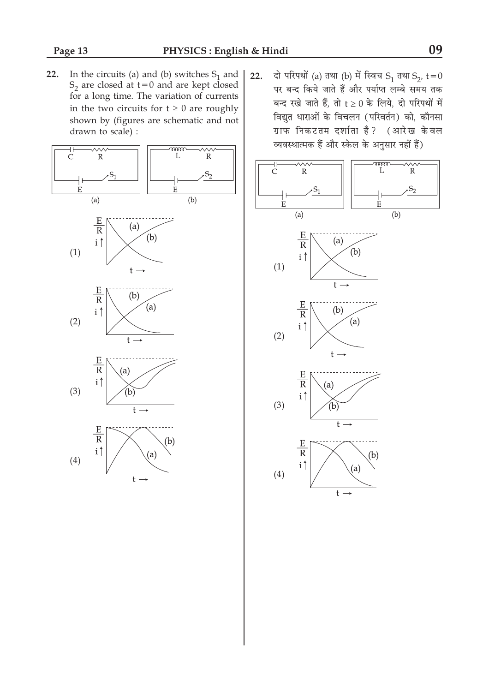In the circuits (a) and (b) switches  $S_1$  and  $S_2$  are closed at  $t=0$  and are kept closed  $22.$ for a long time. The variation of currents in the two circuits for  $t \geq 0$  are roughly shown by (figures are schematic and not drawn to scale) :



दो परिपथों (a) तथा (b) में स्विच S<sub>1</sub> तथा S<sub>2</sub>, t = 0 22. पर बन्द किये जाते हैं और पर्याप्त लम्बे समय तक बन्द रखे जाते हैं, तो  $t \ge 0$  के लिये, दो परिपथों में विद्युत धाराओं के विचलन (परिवर्तन) को, कौनसा ग्राफ निकटतम दर्शाता है? (आरेख केवल व्यवस्थात्मक हैं और स्केल के अनुसार नहीं हैं)

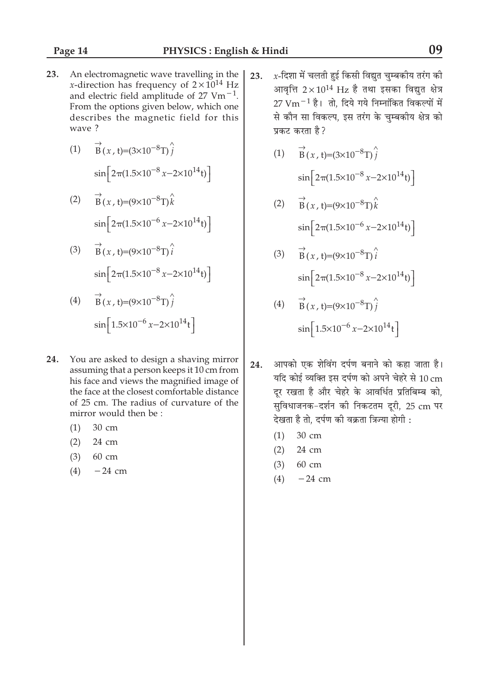- An electromagnetic wave travelling in the 23. *x*-direction has frequency of  $2 \times 10^{14}$  Hz and electric field amplitude of 27  $Vm^{-1}$ . From the options given below, which one describes the magnetic field for this wave?
	- $\vec{B}(x, t) = (3 \times 10^{-8} \text{ T}) \hat{j}$  $(1)$  $\sin\left[2\pi(1.5\times10^{-8} x-2\times10^{14} t)\right]$
	- $\overrightarrow{B}(x,t)=(9\times10^{-8}T)\hat{k}$  $(2)$  $\sin \left[2\pi (1.5 \times 10^{-6} \ x - 2 \times 10^{14} t)\right]$
	- $\overrightarrow{B}(x, t) = (9 \times 10^{-8} \text{T}) \hat{i}$  $(3)$  $\sin \left[2\pi (1.5 \times 10^{-8} \ x - 2 \times 10^{14} t)\right]$
	- $\overrightarrow{B}(x,t)=(9\times10^{-8}T)\hat{i}$  $(4)$  $\sin\left[1.5\times10^{-6} x - 2\times10^{14} t\right]$
- 24. You are asked to design a shaving mirror assuming that a person keeps it 10 cm from his face and views the magnified image of the face at the closest comfortable distance of 25 cm. The radius of curvature of the mirror would then be:
	- 30 cm  $(1)$
	- $(2)$ 24 cm
	- $(3)$ 60 cm
	- $(4)$  $-24$  cm
- $x$ -दिशा में चलती हुई किसी विद्यत चम्बकीय तरंग की 23. आवत्ति  $2\times10^{14}$  Hz है तथा इसका विद्यत क्षेत्र  $27 \text{ Vm}^{-1}$  है। तो, दिये गये निम्नांकित विकल्पों में से कौन सा विकल्प, इस तरंग के चुम्बकीय क्षेत्र को प्रकट करता है?
	- $\vec{B}(x, t) = (3 \times 10^{-8} \text{T}) \hat{i}$  $(1)$  $\sin \left[2\pi (1.5 \times 10^{-8} \text{ x} - 2 \times 10^{14} \text{ t})\right]$
	- $\overrightarrow{B}(x,t)=(9\times10^{-8}T)\hat{k}$  $(2)$  $\sin \left[2\pi (1.5 \times 10^{-6} x - 2 \times 10^{14} t)\right]$
	- (3)  $\vec{B}(x, t) = (9 \times 10^{-8} \text{T}) \hat{i}$  $\sin \left[2\pi (1.5 \times 10^{-8} \ x - 2 \times 10^{14} t)\right]$
	- $\vec{B}(x, t) = (9 \times 10^{-8} \text{T}) \hat{i}$  $(4)$  $\sin\left[1.5\times10^{-6} x - 2\times10^{14} t\right]$
- 24. आपको एक शेविंग दर्पण बनाने को कहा जाता है। यदि कोई व्यक्ति इस दर्पण को अपने चेहरे से 10 cm दर रखता है और चेहरे के आवर्धित प्रतिबिम्ब को. सुविधाजनक-दर्शन की निकटतम दूरी, 25 cm पर देखता है तो. दर्पण की वक्रता त्रिज्या होगी :
	- 30 cm  $(1)$
	- $(2)$ 24 cm
	- $(3)$  $60 \text{ cm}$
	- $-24$  cm  $(4)$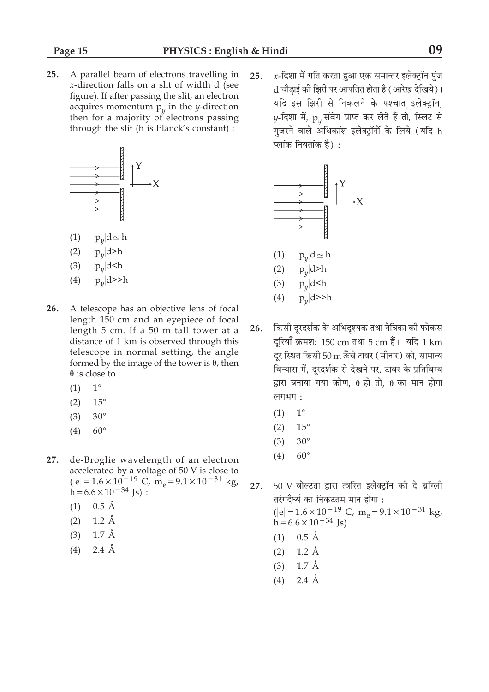$25.$ A parallel beam of electrons travelling in x-direction falls on a slit of width d (see figure). If after passing the slit, an electron acquires momentum  $p_{\nu}$  in the *y*-direction then for a majority of electrons passing through the slit (h is Planck's constant) :



- $|p_y|d \simeq h$  $(1)$
- $|p_{\nu}|$ d>h  $(2)$
- $|p_y|$ d<h  $(3)$
- $(4)$  $|p_{\nu}|$ d>>h
- 26. A telescope has an objective lens of focal length 150 cm and an eyepiece of focal length 5 cm. If a 50 m tall tower at a distance of 1 km is observed through this telescope in normal setting, the angle formed by the image of the tower is  $\theta$ , then  $\theta$  is close to:
	- $1^{\circ}$  $(1)$
	- $(2)$  $15^{\circ}$
	- $(3)$  $30^\circ$
	- $60^\circ$  $(4)$
- $27.$ de-Broglie wavelength of an electron accelerated by a voltage of 50 V is close to<br>
(|e| =  $1.6 \times 10^{-19}$  C, m<sub>e</sub> =  $9.1 \times 10^{-31}$  kg,  $h = 6.6 \times 10^{-34}$  Js :
	- $(1)$  0.5 Å
	- $(2)$  $1.2 \text{ Å}$
	- $1.7 \text{ Å}$  $(3)$
	- $2.4 \text{ Å}$  $(4)$

 $x$ -दिशा में गति करता हुआ एक समान्तर इलेक्ट्रॉन पुंज 25. d चौडाई की झिरी पर आपतित होता है ( आरेख देखिये)। यदि इस झिरी से निकलने के पश्चात् इलेक्ट्रॉन, y-दिशा में,  $p_{\nu}$  संवेग प्राप्त कर लेते हैं तो, स्लिट से गुजरने वाले अधिकांश इलेक्ट्रॉनों के लिये (यदि h प्लांक नियतांक है):



- किसी दुरदर्शक के अभिदुश्यक तथा नेत्रिका की फोकस 26. दूरियाँ क्रमश: 150 cm तथा 5 cm हैं। यदि 1 km दूर स्थित किसी 50 ${\rm m}$  ऊँँचे टावर (मीनार) को, सामान्य विन्यास में, दूरदर्शक से देखने पर, टावर के प्रतिबिम्ब द्वारा बनाया गया कोण, 0 हो तो, 0 का मान होगा लगभग:
	- $(1)$  $1^{\circ}$
	- $15^{\circ}$  $(2)$
	- $(3)$  $30^{\circ}$
	- $60^\circ$  $(4)$

50 V वोल्टता द्वारा त्वरित इलेक्ट्रॉन की दे-ब्रॉग्ली 27. तरंगदैर्घ्य का निकटतम मान होगा : (|e| =  $1.6 \times 10^{-19}$  C, m<sub>e</sub> =  $9.1 \times 10^{-31}$  kg,<br>h =  $6.6 \times 10^{-34}$  Js)  $(1)$  0.5 Å

- $(2)$  1.2 Å
- $(3)$  1.7 Å
- $2.4 \text{ Å}$  $(4)$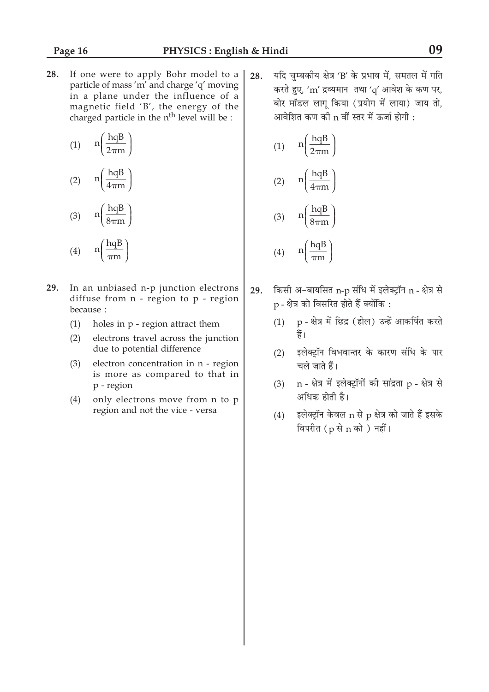If one were to apply Bohr model to a 28. particle of mass 'm' and charge 'q' moving in a plane under the influence of a magnetic field 'B', the energy of the charged particle in the n<sup>th</sup> level will be :

$$
(1) \quad n \left( \frac{hqB}{2\pi m} \right)
$$
\n
$$
(hqB)
$$

$$
(2) \qquad \ln\left(\frac{1}{4\pi m}\right)
$$

$$
(3) \qquad \ln\left(\frac{\text{hqB}}{8\pi\text{m}}\right)
$$

$$
(4) \qquad n\left(\frac{hqB}{\pi m}\right)
$$

- 29. In an unbiased n-p junction electrons diffuse from n - region to p - region because :
	- $(1)$ holes in p - region attract them
	- $(2)$ electrons travel across the junction due to potential difference
	- $(3)$ electron concentration in n - region is more as compared to that in p - region
	- only electrons move from n to p  $(4)$ region and not the vice - versa

यदि चुम्बकीय क्षेत्र 'B' के प्रभाव में, समतल में गति 28. करते हुए, 'm' द्रव्यमान तथा 'q' आवेश के कण पर, बोर मॉडल लागू किया (प्रयोग में लाया) जाय तो, आवेशित कण की n वीं स्तर में ऊर्जा होगी :

(1) 
$$
n\left(\frac{hqB}{2\pi m}\right)
$$
  
\n(2)  $n\left(\frac{hqB}{4\pi m}\right)$   
\n(3)  $n\left(\frac{hqB}{8\pi m}\right)$ 

$$
(4) \qquad n \left( \frac{\text{hqB}}{\pi \text{m}} \right)
$$

- किसी अ-बायसित n-p संधि में इलेक्ट्रॉन n क्षेत्र से 29. p - क्षेत्र को विसरित होते हैं क्योंकि:
	- p क्षेत्र में छिद्र (होल) उन्हें आकर्षित करते  $(1)$ हैं।
	- (2) इलेक्ट्रॉन विभवान्तर के कारण संधि के पार चले जाते हैं।
	- n क्षेत्र में इलेक्ट्रॉनों की सांद्रता p क्षेत्र से  $(3)$ अधिक होती है।
	- इलेक्ट्रॉन केवल n से p क्षेत्र को जाते हैं इसके  $(4)$ विपरीत (p से n को) नहीं।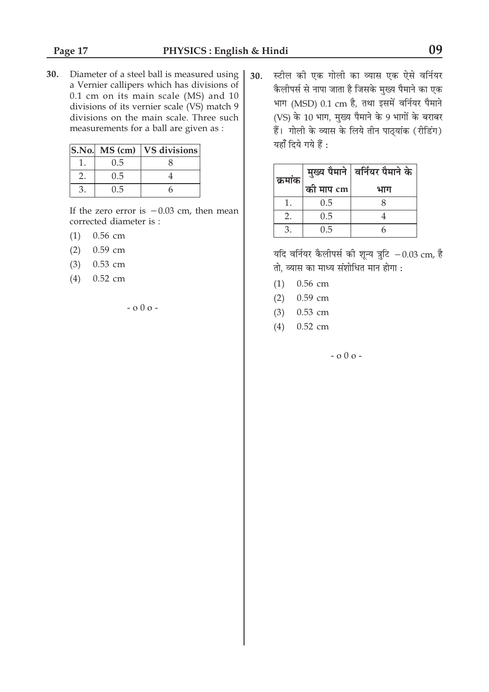30. Diameter of a steel ball is measured using a Vernier callipers which has divisions of 0.1 cm on its main scale (MS) and 10 divisions of its vernier scale (VS) match 9 divisions on the main scale. Three such measurements for a ball are given as :

| $S.No.$ MS $(cm)$ | <b>VS</b> divisions |
|-------------------|---------------------|
| 0.5               |                     |
| 0.5               |                     |
| 0.5               |                     |

If the zero error is  $-0.03$  cm, then mean corrected diameter is :

- 0.56 cm  $(1)$
- $(2)$ 0.59 cm
- $(3)$ 0.53 cm
- $(4)$  $0.52$  cm

 $-0.00 -$ 

स्टील की एक गोली का व्यास एक ऐसे वर्नियर 30. .<br>कैलीपर्स से नापा जाता है जिसके मुख्य पैमाने का एक भाग (MSD) 0.1 cm है, तथा इसमें वर्नियर पैमाने (VS) के 10 भाग, मुख्य पैमाने के 9 भागों के बराबर हैं। गोली के व्यास के लिये तीन पाठ्यांक (रीडिंग) यहाँ दिये गये हैं :

| क्रमांक |           | मुख्य पैमाने   वर्नियर पैमाने के |
|---------|-----------|----------------------------------|
|         | का माप cm | भाग                              |
|         | 0.5       |                                  |
| 2.      | 0.5       |                                  |
| З       | 0.5       |                                  |

यदि वर्नियर कैलीपर्स की शून्य त्रुटि  $-0.03$  cm, है तो, व्यास का माध्य संशोधित मान होगा :

- $(1)$  0.56 cm
- $(2)$  0.59 cm
- $(3)$  0.53 cm
- $(4)$  0.52 cm

 $-0.00 -$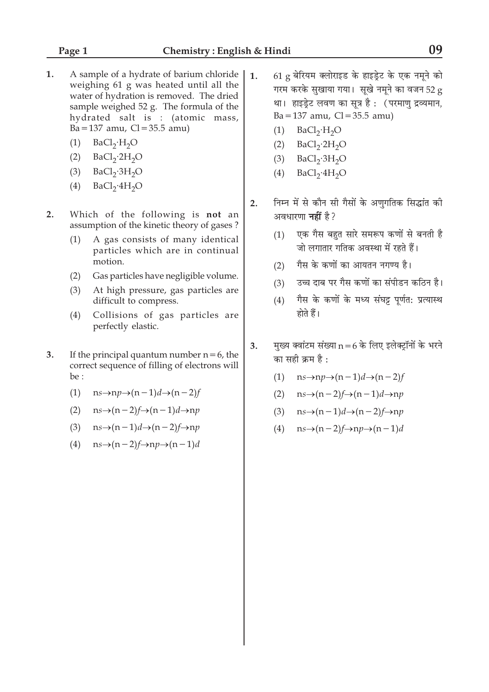- 1. A sample of a hydrate of barium chloride weighing 61 g was heated until all the water of hydration is removed. The dried sample weighed 52 g. The formula of the hydrated salt is: (atomic mass,  $Ba = 137$  amu,  $Cl = 35.5$  amu)
	- $BaCl<sub>2</sub>·H<sub>2</sub>O$  $(1)$
	- $BaCl<sub>2</sub>·2H<sub>2</sub>O$  $(2)$
	- $BaCl<sub>2</sub>·3H<sub>2</sub>O$  $(3)$
	- $BaCl<sub>2</sub>·4H<sub>2</sub>O$  $(4)$
- $2.$ Which of the following is not an assumption of the kinetic theory of gases?
	- A gas consists of many identical  $(1)$ particles which are in continual motion.
	- Gas particles have negligible volume.  $(2)$
	- $(3)$ At high pressure, gas particles are difficult to compress.
	- Collisions of gas particles are  $(4)$ perfectly elastic.
- 3. If the principal quantum number  $n = 6$ , the correct sequence of filling of electrons will be:
	- $ns \rightarrow np \rightarrow (n-1)d \rightarrow (n-2)f$  $(1)$
	- $ns\rightarrow (n-2)f\rightarrow (n-1)d\rightarrow np$  $(2)$
	- (3)  $ns\rightarrow (n-1)d\rightarrow (n-2)f\rightarrow np$
	- (4)  $ns\rightarrow (n-2)f\rightarrow np\rightarrow (n-1)d$
- $61$  g बेरियम क्लोराइड के हाइड्रेट के एक नमूने को  $\mathbf{1}$ . गरम करके सुखाया गया। सुखे नमने का वजन 52 g था। हाइड्रेट लवण का सूत्र है : (परमाणु द्रव्यमान,  $Ba = 137$  amu,  $Cl = 35.5$  amu)
	- $(1)$  BaCl<sub>2</sub>·H<sub>2</sub>O
	- $BaCl<sub>2</sub>·2H<sub>2</sub>O$  $(2)$
	- $BaCl<sub>2</sub>·3H<sub>2</sub>O$  $(3)$
	- $BaCl<sub>2</sub>·4H<sub>2</sub>O$  $(4)$
- निम्न में से कौन सी गैसों के अणुगतिक सिद्धांत की  $2.$ अवधारणा **नहीं** है?
	- एक गैस बहुत सारे समरूप कणों से बनती है  $(1)$ जो लगातार गतिक अवस्था में रहते हैं।
	- गैस के कणों का आयतन नगण्य है।  $(2)$
	- उच्च दाब पर गैस कणों का संपीडन कठिन है।  $(3)$
	- गैस के कणों के मध्य संघट्ट पर्णत: प्रत्यास्थ  $(4)$ होते हैं।
- मुख्य क्वांटम संख्या  $n = 6$  के लिए इलेक्ट्रॉनों के भरने  $3.$ का सही क्रम है :
	- (1)  $ns \rightarrow np \rightarrow (n-1)d \rightarrow (n-2)f$
	- (2)  $ns\rightarrow (n-2)f\rightarrow (n-1)d\rightarrow np$
	- (3)  $ns\rightarrow (n-1)d\rightarrow (n-2)f\rightarrow np$
	- (4)  $ns\rightarrow (n-2)f\rightarrow np\rightarrow (n-1)d$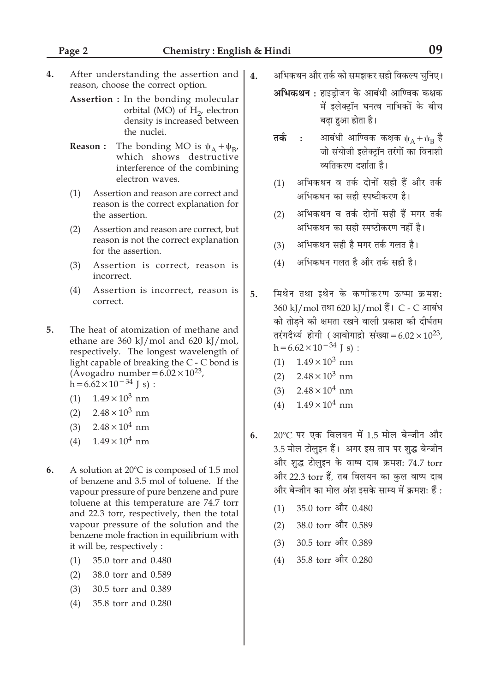- $4.$ After understanding the assertion and reason, choose the correct option.
	- Assertion : In the bonding molecular orbital (MO) of  $H_2$ , electron density is increased between the nuclei.
	- **Reason:** The bonding MO is  $\psi_A + \psi_{B'}$ which shows destructive interference of the combining electron waves.
	- Assertion and reason are correct and  $(1)$ reason is the correct explanation for the assertion.
	- Assertion and reason are correct, but  $(2)$ reason is not the correct explanation for the assertion.
	- $(3)$ Assertion is correct, reason is incorrect.
	- Assertion is incorrect, reason is  $(4)$ correct.
- $5<sub>1</sub>$ The heat of atomization of methane and ethane are 360 kJ/mol and 620 kJ/mol, respectively. The longest wavelength of light capable of breaking the C - C bond is (Avogadro number =  $6.02 \times 10^{23}$ ,<br>h =  $6.62 \times 10^{-34}$  J s) :
	- $(1)$  $1.49 \times 10^3$  nm
	- $2.48 \times 10^3$  nm  $(2)$
	- $(3)$  $2.48 \times 10^4$  nm
	- $1.49 \times 10^4$  nm  $(4)$
- 6. A solution at 20°C is composed of 1.5 mol of benzene and 3.5 mol of toluene. If the vapour pressure of pure benzene and pure toluene at this temperature are 74.7 torr and 22.3 torr, respectively, then the total vapour pressure of the solution and the benzene mole fraction in equilibrium with it will be, respectively :
	- $(1)$ 35.0 torr and 0.480
	- 38.0 torr and 0.589  $(2)$
	- $(3)$ 30.5 torr and 0.389
	- $(4)$ 35.8 torr and 0.280
- अभिकथन और तर्क को समझकर सही विकल्प चुनिए।  $\overline{4}$ .
	- **अभिकथन :** हाइड़ोजन के आबंधी आण्विक कक्षक में इलेक्टॉन घनत्व नाभिकों के बीच बढा हुआ होता है।
	- आबंधी आण्विक कक्षक  $\psi_A + \psi_B$  है तर्क  $\cdot$ : जो संयोजी इलेक्टॉन तरंगों का विनाशी व्यतिकरण दर्शाता है।
	- अभिकथन व तर्क दोनों सही हैं और तर्क  $(1)$ अभिकथन का सही स्पष्टीकरण है।
	- अभिकथन व तर्क दोनों सही हैं मगर तर्क  $(2)$ अभिकथन का सही स्पष्टीकरण नहीं है।
	- $(3)$ अभिकथन सही है मगर तर्क गलत है।
	- अभिकथन गलत है और तर्क सही है।  $(4)$
- मिथेन तथा इथेन के कर्णाकरण ऊष्मा क्रमश: 5. 360 kJ/mol तथा 620 kJ/mol हैं। C - C आबंध को तोडने की क्षमता रखने वाली प्रकाश की दीर्घतम तरंगदैर्ध्य होगी (आवोगाद्रो संख्या=6.02×10<sup>23</sup>,  $h = 6.62 \times 10^{-34}$  J s):
	- (1)  $1.49 \times 10^3$  nm
	- (2)  $2.48 \times 10^3$  nm
	- (3)  $2.48 \times 10^4$  nm
	- $1.49 \times 10^4$  nm  $(4)$
- 20°C पर एक विलयन में 1.5 मोल बेन्जीन और 6. 3.5 मोल टोलुइन हैं। अगर इस ताप पर शुद्ध बेन्जीन और शुद्ध टोलुइन के वाष्प दाब क्रमश: 74.7 torr और 22.3 torr हैं, तब विलयन का कुल वाष्प दाब और बेन्जीन का मोल अंश इसके साम्य में क्रमश: हैं :
	- 35.0 torr और 0.480  $(1)$
	- 38.0 torr और 0.589  $(2)$
	- 30.5 torr और 0.389  $(3)$
	- 35.8 torr और 0.280  $(4)$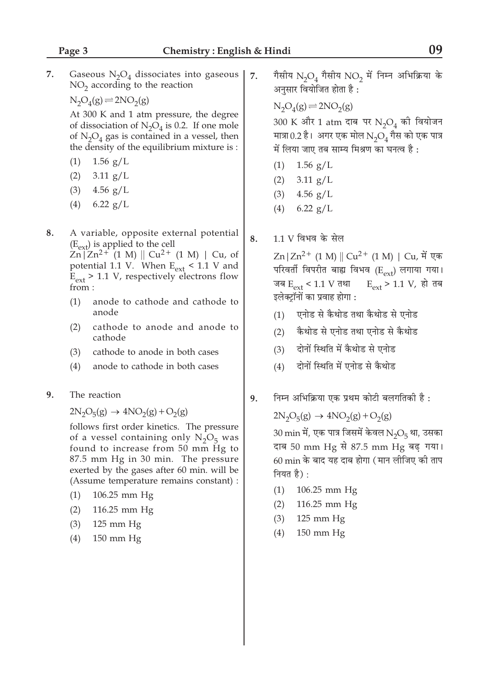7.

7. Gaseous  $N_2O_4$  dissociates into gaseous  $NO<sub>2</sub>$  according to the reaction

 $N_2O_4(g) \rightleftharpoons 2NO_2(g)$ 

At 300 K and 1 atm pressure, the degree of dissociation of  $N_2O_4$  is 0.2. If one mole of  $N_2O_4$  gas is contained in a vessel, then the density of the equilibrium mixture is :

- $(1)$ 1.56  $g/L$
- $(2)$  $3.11$  g/L
- $(3)$ 4.56  $g/L$
- $(4)$  $6.22$  g/L
- 8. A variable, opposite external potential  $(E_{ext})$  is applied to the cell

 $\text{Zn}$ |  $\text{Zn}^{2+}$  (1 M) ||  $\text{Cu}^{2+}$  (1 M) |  $\text{Cu}$ , of potential 1.1 V. When  $E_{ext}$  < 1.1 V and  $E_{ext}$  > 1.1 V, respectively electrons flow from:

- $(1)$ anode to cathode and cathode to anode
- $(2)$ cathode to anode and anode to cathode
- cathode to anode in both cases  $(3)$
- $(4)$ anode to cathode in both cases
- 9. The reaction

 $2N_2O_5(g) \rightarrow 4NO_2(g) + O_2(g)$ 

follows first order kinetics. The pressure of a vessel containing only  $N_2O_5$  was found to increase from 50 mm Hg to 87.5 mm Hg in 30 min. The pressure exerted by the gases after 60 min. will be (Assume temperature remains constant) :

- $(1)$ 106.25 mm Hg
- $(2)$ 116.25 mm Hg
- $125$  mm  $Hg$  $(3)$
- $(4)$ 150 mm Hg

गैसीय  $N_2O_4$  गैसीय  $NO_2$  में निम्न अभिक्रिया के अनुसार वियोजित होता है:

 $N_2O_4(g) \rightleftharpoons 2NO_2(g)$ 

300 K और 1 atm दाब पर N<sub>2</sub>O<sub>4</sub> की वियोजन मात्रा 0.2 है। अगर एक मोल  $N_2O_4$  गैस को एक पात्र में लिया जाए तब साम्य मिश्रण का घनत्व है:

- $1.56$  g/L  $(1)$
- $3.11$  g/L  $(2)$
- $(3)$ 4.56  $g/L$
- $6.22$   $g/L$  $(4)$
- $1.1$  V विभव के सेल 8.

 $\text{Zn} | \text{Zn}^{2+} (1 \text{ M}) | | \text{Cu}^{2+} (1 \text{ M}) | | \text{Cu}, \, \text{H}$  एक परिवर्ती विपरीत बाह्य विभव  $(\text{E}_{\text{ext}})$  लगाया गया।  $E_{ext}$  > 1.1 V, हो तब जब  $E_{ext}$  < 1.1 V तथा इलेक्ट्रॉनों का प्रवाह होगा :

- (1) एनोड से कैथोड तथा कैथोड से एनोड
- कैथोड से एनोड तथा एनोड से कैथोड  $(2)$
- दोनों स्थिति में कैथोड से एनोड  $(3)$
- दोनों स्थिति में एनोड से कैथोड  $(4)$
- निम्न अभिक्रिया एक प्रथम कोटी बलगतिकी है : 9.

 $2N_2O_5(g) \rightarrow 4NO_2(g) + O_2(g)$ 

 $30 \text{ min}$  में, एक पात्र जिसमें केवल  $\text{N}_2\text{O}_5$  था, उसका दाब 50 mm Hg से 87.5 mm Hg बढ़ गया। 60 min के बाद यह दाब होगा (मान लीजिए की ताप नियत है) :

- 106.25 mm Hg  $(1)$
- 116.25 mm Hg  $(2)$
- $125$  mm  $Hg$  $(3)$
- $150$  mm  $Hg$  $(4)$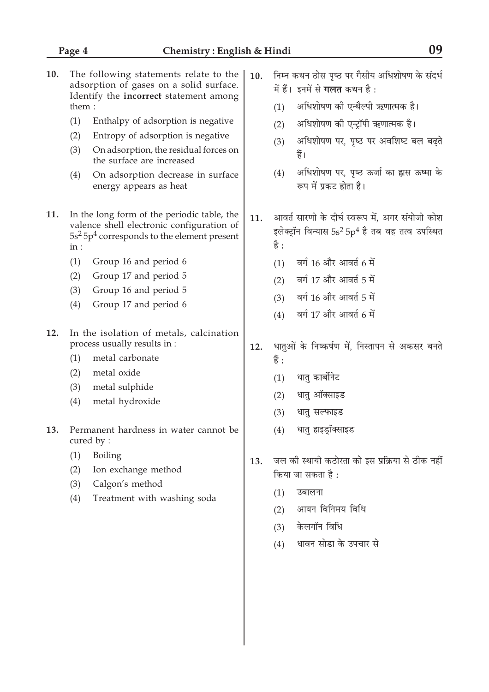- $10.$ The following statements relate to the adsorption of gases on a solid surface. Identify the incorrect statement among them:
	- $(1)$ Enthalpy of adsorption is negative
	- $(2)$ Entropy of adsorption is negative
	- $(3)$ On adsorption, the residual forces on the surface are increased
	- $(4)$ On adsorption decrease in surface energy appears as heat
- 11. In the long form of the periodic table, the valence shell electronic configuration of  $5s<sup>2</sup> 5p<sup>4</sup>$  corresponds to the element present  $in:$ 
	- Group 16 and period 6  $(1)$
	- $(2)$ Group 17 and period 5
	- $(3)$ Group 16 and period 5
	- Group 17 and period 6  $(4)$
- $12<sub>1</sub>$ In the isolation of metals, calcination process usually results in :
	- $(1)$ metal carbonate
	- $(2)$ metal oxide
	- $(3)$ metal sulphide
	- $(4)$ metal hydroxide
- Permanent hardness in water cannot be  $13.$ cured by:
	- $(1)$ Boiling
	- $(2)$ Ion exchange method
	- $(3)$ Calgon's method
	- $(4)$ Treatment with washing soda
- निम्न कथन ठोस पष्ठ पर गैसीय अधिशोषण के संदर्भ 10. में हैं। इनमें से गलत कथन है:
	- $(1)$ अधिशोषण की एन्थैल्पी ऋणात्मक है।
	- अधिशोषण की एन्ट्रॉपी ऋणात्मक है।  $(2)$
	- अधिशोषण पर, पृष्ठ पर अवशिष्ट बल बढते  $(3)$ हैं।
	- अधिशोषण पर, पृष्ठ ऊर्जा का ह्रास ऊष्मा के  $(4)$ रूप में प्रकट होता है।
- आवर्त सारणी के दीर्घ स्वरूप में. अगर संयोजी कोश  $11.$ इलेक्ट्रॉन विन्यास 5s<sup>2</sup> 5p<sup>4</sup> है तब वह तत्व उपस्थित है :
	- वर्ग 16 और आवर्त 6 में  $(1)$
	- (2) वर्ग 17 और आवर्त 5 में
	- वर्ग 16 और आवर्त 5 में  $(3)$
	- वर्ग 17 और आवर्त 6 में  $(4)$
- धातुओं के निष्कर्षण में, निस्तापन से अकसर बनते 12. हैं :
	- धात कार्बोनेट  $(1)$
	- $(2)$ धातु ऑक्साइड
	- $(3)$ धात सल्फाइड
	- धातु हाइड़ॉक्साइड  $(4)$
- जल की स्थायी कठोरता को इस प्रक्रिया से ठीक नहीं 13. किया जा सकता है :
	- उबालना  $(1)$
	- आयन विनिमय विधि  $(2)$
	- केलगॉन विधि  $(3)$
	- धावन सोडा के उपचार से  $(4)$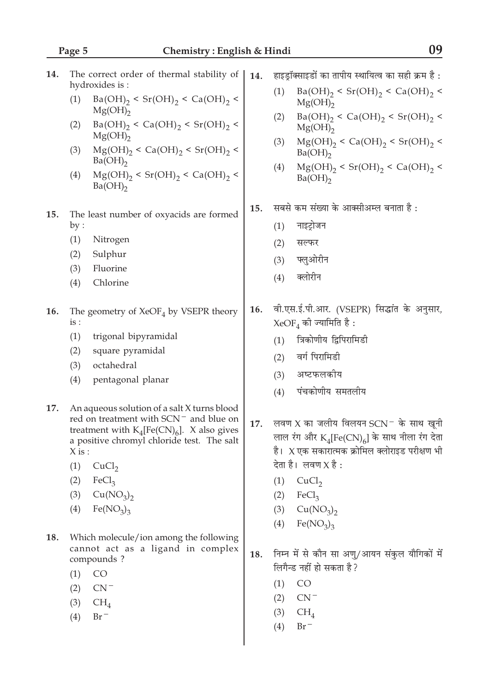- The correct order of thermal stability of 14. hydroxides is:
	- $Ba(OH)_2 \le Sr(OH)_2 \le Ca(OH)_2 \le$  $(1)$  $Mg(OH)_{2}$
	- $Ba(OH)_2 < Ca(OH)_2 < Sr(OH)_2 <$  $(2)$  $Mg(OH)_{2}$
	- $Mg(OH)_{2} < Ca(OH)_{2} < Sr(OH)_{2} <$  $(3)$  $Ba(OH)_{2}$
	- $Mg(OH)_{2}$  < Sr(OH)<sub>2</sub> < Ca(OH)<sub>2</sub> <  $(4)$  $Ba(OH)_{2}$
- The least number of oxyacids are formed 15.  $by:$ 
	- $(1)$ Nitrogen
	- $(2)$ Sulphur
	- $(3)$ Fluorine
	- $(4)$ Chlorine
- 16. The geometry of  $XeOF_A$  by VSEPR theory  $is:$ 
	- trigonal bipyramidal  $(1)$
	- $(2)$ square pyramidal
	- $(3)$ octahedral
	- pentagonal planar  $(4)$
- 17. An aqueous solution of a salt X turns blood red on treatment with SCN<sup>-</sup> and blue on treatment with  $K_4[Fe(CN)_6]$ . X also gives a positive chromyl chloride test. The salt  $X$  is :
	- $(1)$  CuCl<sub>2</sub>
	- $(2)$  FeCl<sub>3</sub>
	- $(3)$  $Cu(NO<sub>3</sub>)<sub>2</sub>$
	- $(4)$  $Fe(NO<sub>3</sub>)<sub>3</sub>$
- 18. Which molecule/ion among the following cannot act as a ligand in complex compounds?
	- $(1)$ **CO**
	- $CN^ (2)$
	- $(3)$  $CH<sub>4</sub>$
	- $(4)$  $Br^-$
- हाइडॉक्साइडों का तापीय स्थायित्व का सही क्रम है:  $14.$ 
	- $Ba(OH)_2 \le Sr(OH)_2 \le Ca(OH)_2 \le$  $(1)$  $Mg(OH)_{2}$
	- $Ba(OH)_2 < Ca(OH)_2 < Sr(OH)_2 <$  $(2)$  $Mg(OH)_{2}$
	- $(3)$  $Mg(OH)_{2} < Ca(OH)_{2} < Sr(OH)_{2} <$  $Ba(OH)_{2}$
	- $Mg(OH)_{2}$  < Sr(OH)<sub>2</sub> < Ca(OH)<sub>2</sub> <  $(4)$  $Ba(OH)_{2}$
- सबसे कम संख्या के आक्सीअम्ल बनाता है : 15.
	- नाइटोजन  $(1)$
	- $(2)$ सल्फर
	- $(3)$ फ्लओरीन
	- क्लोरीन  $(4)$
- वी.एस.ई.पी.आर. (VSEPR) सिद्धांत के अनुसार, 16.  $XeOF_{4}$  की ज्यामिति है:
	- त्रिकोणीय द्विपिरामिडी  $(1)$
	- वर्ग पिरामिडी  $(2)$
	- अष्टफलकोय  $(3)$
	- पंचकोणीय समतलीय  $(4)$
- लवण X का जलीय विलयन SCN<sup>-</sup> के साथ खूनी 17. लाल रंग और  $K_4[Fe(CN)_6]$  के साथ नीला रंग देता है।  $X$ एक सकारात्मक क्रोमिल क्लोराइड परीक्षण भी देता है। लवण $X$  है:
	- $(1)$  CuCl<sub>2</sub>
	- $(2)$  $FeCl<sub>2</sub>$
	- $(3)$  $Cu(NO<sub>3</sub>)<sub>2</sub>$
	- $Fe(NO<sub>3</sub>)<sub>3</sub>$  $(4)$
- निम्न में से कौन सा अण्/आयन संकुल यौगिकों में 18. लिगैन्ड नहीं हो सकता है?
	- $CO$  $(1)$
	- $(2)$  $CN^-$
	- $(3)$  CH<sub>4</sub>
	- $Br^ (4)$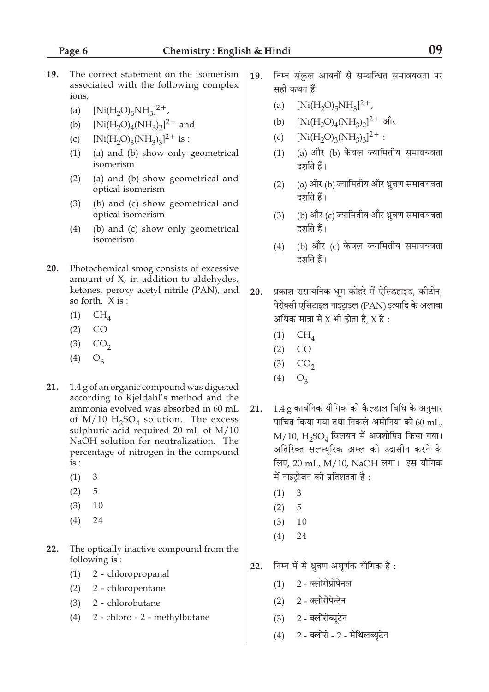09

- 19. The correct statement on the isomerism associated with the following complex ions.
	- $[Ni(H<sub>2</sub>O)<sub>5</sub>NH<sub>3</sub>]^{2+}$  $(a)$
	- $[Ni(H_2O)_4(NH_3)_2]^2$ <sup>+</sup> and  $(b)$
	- $[Ni(H_2O)_3(NH_3)_3]^2$ <sup>+</sup> is :  $(c)$
	- (a) and (b) show only geometrical  $(1)$ isomerism
	- $(2)$ (a) and (b) show geometrical and optical isomerism
	- (b) and (c) show geometrical and  $(3)$ optical isomerism
	- (b) and (c) show only geometrical  $(4)$ isomerism
- 20. Photochemical smog consists of excessive amount of X, in addition to aldehydes, ketones, peroxy acetyl nitrile (PAN), and so forth. X is :
	- $(1)$  $CH<sub>4</sub>$
	- $(2)$  $CO$
	- $(3)$  $CO<sub>2</sub>$
	- $(4)$  $O<sub>3</sub>$
- 21. 1.4 g of an organic compound was digested according to Kjeldahl's method and the ammonia evolved was absorbed in 60 mL of  $M/10 H_2SO_4$  solution. The excess sulphuric acid required 20 mL of M/10 NaOH solution for neutralization. The percentage of nitrogen in the compound  $is:$ 
	- $(1)$ 3
	- $(2)$ 5
	- $(3)$ 10
	- $(4)$ 24
- $22.$ The optically inactive compound from the following is:
	- $(1)$  2 chloropropanal
	- $(2)$ 2 - chloropentane
	- $(3)$  2 chlorobutane
	- 2 chloro 2 methylbutane  $(4)$
- निम्न संकल आयनों से सम्बन्धित समावयवता पर 19. सही कथन हैं
	- $(a)$  $[Ni(H<sub>2</sub>O)<sub>5</sub>NH<sub>3</sub>]^{2+}$ ,
	- $[Ni(H<sub>2</sub>O)<sub>4</sub>(NH<sub>3</sub>)<sub>2</sub>]$ <sup>2+</sup> और  $(b)$
	- $[Ni(H_2O)_3(NH_3)_3]^{2+}$ :  $(c)$
	- (1) (a) और (b) केवल ज्यामितीय समावयवता दर्शाते हैं।
	- (2) (a) और (b) ज्यामितीय और ध्रुवण समावयवता दर्शाते हैं।
	- (3) (b) और (c) ज्यामितीय और ध्रुवण समावयवता दर्शाते हैं।
	- $(4)$ (b) और (c) केवल ज्यामितीय समावयवता दर्शाते हैं।
- 20. प्रकाश रासायनिक धूम कोहरे में ऐल्डिहाइड, कीटोन, पेरोक्सी एसिटाइल नाइट्राइल (PAN) इत्यादि के अलावा अधिक मात्रा में X भी होता है,  $X$  है:
	- $CH<sub>4</sub>$  $(1)$
	- $CO$  $(2)$
	- $(3)$  $CO<sub>2</sub>$
	- $(4)$  $O<sub>3</sub>$
- $1.4$  g कार्बनिक यौगिक को कैल्डाल विधि के अनुसार  $21.$ पाचित किया गया तथा निकले अमोनिया को 60 mL.  $M/10$ ,  $H_2$ SO $_4$  विलयन में अवशोषित किया गया। अतिरिक्त सल्फ्युरिक अम्ल को उदासीन करने के लिए, 20 mL, M/10, NaOH लगा। इस यौगिक में नाइटोजन की प्रतिशतता है:
	- $\mathfrak{Z}$  $(1)$
	- 5  $(2)$
	- $(3)$  $10$
	- $(4)$ 24
- निम्न में से ध्रवण अघर्णक यौगिक है:  $22.$ 
	- $(1)$  2 क्लोरोप्रोपेनल
	- (2) 2 क्लोरोपेन्टेन
	- (3) 2-क्लोरोब्यूटेन
	- (4) 2 क्लोरो 2 मेथिलब्युटेन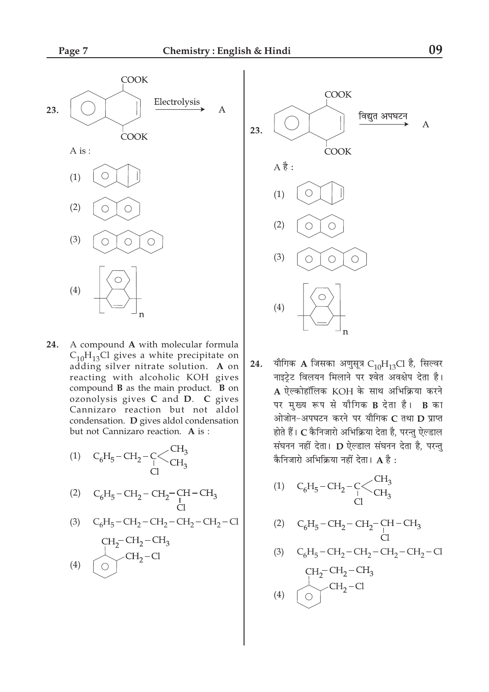

24. A compound A with molecular formula  $C_{10}H_{13}Cl$  gives a white precipitate on adding silver nitrate solution. A on reacting with alcoholic KOH gives compound **B** as the main product. **B** on ozonolysis gives C and D. C gives Cannizaro reaction but not aldol condensation. D gives aldol condensation but not Cannizaro reaction. A is :

(1) 
$$
C_6H_5-CH_2-\underset{Cl}{C}C\underset{Cl}{CH_3}
$$

(2) 
$$
C_6H_5-CH_2-CH_2-CH-CH_3
$$
  
Cl

(3) 
$$
C_6H_5-CH_2-CH_2-CH_2-CH_2-Cl
$$

$$
\begin{array}{c}\n\text{CH}_2-\text{CH}_2-\text{CH}_3\\
\text{CH}_2-\text{Cl}\n\end{array}
$$
\n(4)



यौगिक A जिसका अणुसूत्र  $C_{10}H_{13}$ Cl है, सिल्वर 24. नाइटेट विलयन मिलाने पर श्वेत अवक्षेप देता है। A ऐल्कोहॉलिक KOH के साथ अभिक्रिया करने पर मुख्य रूप से यौगिक B देता है। B का ओजोन-अपघटन करने पर यौगिक C तथा D प्राप्त होते हैं। C कैनिजारो अभिक्रिया देता है, परन्तु ऐल्डाल संघनन नहीं देता। D ऐल्डाल संघनन देता है, परन्तु कैनिजारो अभिक्रिया नहीं देता।  $A$  है:

(1) 
$$
C_6H_5 - CH_2 - C < CH_3
$$
  
Cl

(2) 
$$
C_6H_5-CH_2-CH_2-CH-CH_3
$$
  
Cl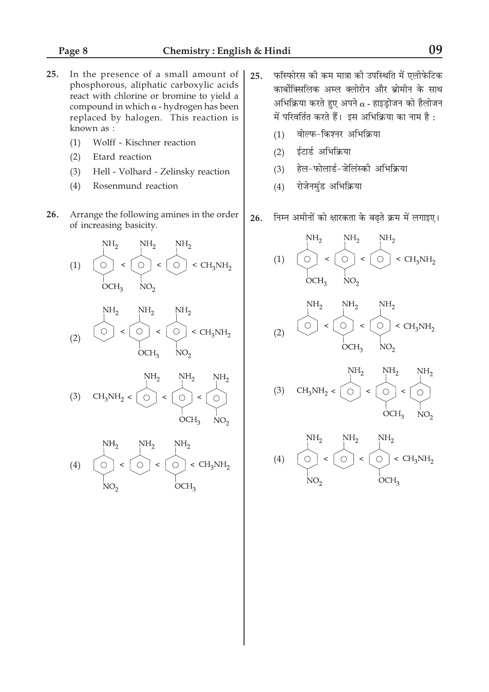- $25.$ In the presence of a small amount of phosphorous, aliphatic carboxylic acids react with chlorine or bromine to yield a compound in which  $\alpha$  - hydrogen has been replaced by halogen. This reaction is known as :
	- Wolff Kischner reaction  $(1)$
	- $(2)$ Etard reaction
	- Hell Volhard Zelinsky reaction  $(3)$
	- $(4)$ Rosenmund reaction
- 26. Arrange the following amines in the order of increasing basicity.

$$
(1) \quad\n\begin{picture}(120,140)(-0.00,0) \put(0,0){\line(0,1){15}} \put(15,0){\line(0,1){15}} \put(15,0){\line(0,1){15}} \put(15,0){\line(0,1){15}} \put(15,0){\line(0,1){15}} \put(15,0){\line(0,1){15}} \put(15,0){\line(0,1){15}} \put(15,0){\line(0,1){15}} \put(15,0){\line(0,1){15}} \put(15,0){\line(0,1){15}} \put(15,0){\line(0,1){15}} \put(15,0){\line(0,1){15}} \put(15,0){\line(0,1){15}} \put(15,0){\line(0,1){15}} \put(15,0){\line(0,1){15}} \put(15,0){\line(0,1){15}} \put(15,0){\line(0,1){15}} \put(15,0){\line(0,1){15}} \put(15,0){\line(0,1){15}} \put(15,0){\line(0,1){15}} \put(15,0){\line(0,1){15}} \put(15,0){\line(0,1){15}} \put(15,0){\line(0,1){15}} \put(15,0){\line(0,1){15}} \put(15,0){\line(0,1){15}} \put(15,0){\line(0,1){15}} \put(15,0){\line(0,1){15}} \put(15,0){\line(0,1){15}} \put(15,0){\line(0,1){15}} \put(15,0){\line(0,1){15}} \put(15,0){\line(0,1){15}} \put(15,0){\line(0,1){15}} \put(15,0){\line(0,1){15}} \put(15,0){\line(0,1){15}} \put(15,0){\line(0,1){15}} \put(15,0){\line(0,1){15}} \put(15,0){\line(0,1){15}} \put(15,0){\line(0,1){15}} \put(15,0){\line(0,1){15}} \put(15,0){\line(0,1){15}} \put(15,0){\line(0,1
$$

$$
(2) \qquad \begin{array}{c}\n\text{NH}_2 \\
\text{OH}_2 \\
\text{O} \\
\text{OCH}_3\n\end{array} \xrightarrow{\text{NH}_2} \begin{array}{c}\n\text{NH}_2 \\
\text{OH}_2 \\
\text{NO}_2\n\end{array} \xrightarrow{\text{NH}_2}
$$

$$
(4) \qquad \begin{picture}(4,4) \put(0,0) {\line(1,0){15}} \put(15,0) {\line(1,0){15}} \put(15,0) {\line(1,0){15}} \put(15,0) {\line(1,0){15}} \put(15,0) {\line(1,0){15}} \put(15,0) {\line(1,0){15}} \put(15,0) {\line(1,0){15}} \put(15,0) {\line(1,0){15}} \put(15,0) {\line(1,0){15}} \put(15,0) {\line(1,0){15}} \put(15,0) {\line(1,0){15}} \put(15,0) {\line(1,0){15}} \put(15,0) {\line(1,0){15}} \put(15,0) {\line(1,0){15}} \put(15,0) {\line(1,0){15}} \put(15,0) {\line(1,0){15}} \put(15,0) {\line(1,0){15}} \put(15,0) {\line(1,0){15}} \put(15,0) {\line(1,0){15}} \put(15,0) {\line(1,0){15}} \put(15,0) {\line(1,0){15}} \put(15,0) {\line(1,0){15}} \put(15,0) {\line(1,0){15}} \put(15,0) {\line(1,0){15}} \put(15,0) {\line(1,0){15}} \put(15,0) {\line(1,0){15}} \put(15,0) {\line(1,0){15}} \put(15,0) {\line(1,0){15}} \put(15,0) {\line(1,0){15}} \put(15,0) {\line(1,0){15}} \put(15,0) {\line(1,0){15}} \put(15,0) {\line(1,0){15}} \put(15,0) {\line(1,0){15}} \put(15,0) {\line(1,0){15}} \put(15,0) {\line(1,0){15}} \put(15,0) {\line(1,0){15}} \put(15,0) {\line(1,0){15}} \put(15,0) {\line(1,0){15}} \put(15,0) {\line(1,0){15}} \put(15,0) {\line(1,0){15}} \put(15,0) {\line(1,0){15}} \put(15,0)
$$

- फॉस्फोरस की कम मात्रा की उपस्थिति में एलीफेटिक 25. कार्बोक्सिलिक अम्ल क्लोरीन और ब्रोमीन के साथ अभिक्रिया करते हुए अपने  $\alpha$  - हाइड्रोजन को हैलोजन में परिवर्तित करते हैं। इस अभिक्रिया का नाम है:
	- वोल्फ-किश्नर अभिक्रिया  $(1)$
	- ईटार्ड अभिक्रिया  $(2)$
	- हेल-फोलार्ड-जेलिंस्की अभिक्रिया  $(3)$
	- रोजेनमुंड अभिक्रिया  $(4)$
- 26. निम्न अमीनों को क्षारकता के बढ़ते क्रम में लगाइए।

(1)  
\n
$$
\frac{NH_2}{OCH_3} \times \frac{NH_2}{NO_2} < \frac{NH_2}{OCH_3NH_2}
$$
\n
$$
\frac{NH_2}{OCH_3} \times \frac{NH_2}{NO_2}
$$
\n(2)  
\n
$$
\frac{NH_2}{OCH_3} \times \frac{NH_2}{OCH_3NH_2}
$$
\n(3)

 $_{\rm OCH_3}^{\parallel}$ 

 $N_{\rm CO}$ 

$$
(4) \quad\n\begin{array}{ccc}\n&\text{NH}_2 & \text{NH}_2 \\
&\text{NH}_2 & \text{NH}_2 \\
&\text{O} < \text{O} < \text{CH}_3\text{NH}_2 \\
&\text{NO}_2 &\text{OCH}_3\n\end{array}
$$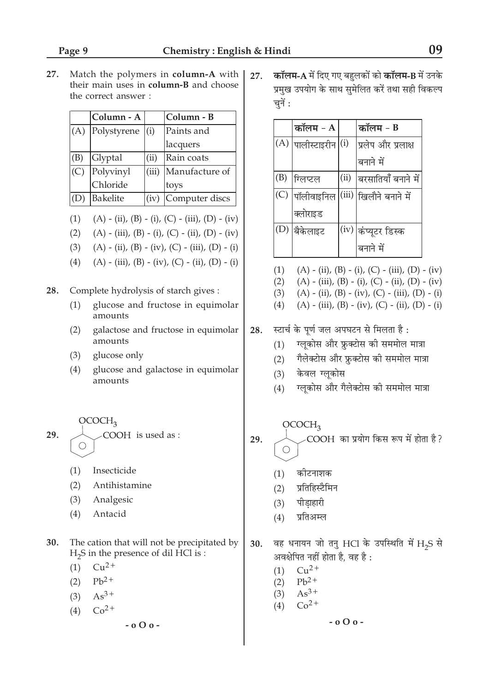27. Match the polymers in column-A with their main uses in column-B and choose the correct answer:

|     | Column - A  |       | Column - B     |
|-----|-------------|-------|----------------|
| (A) | Polystyrene | (i)   | Paints and     |
|     |             |       | lacquers       |
| (B) | Glyptal     | (ii)  | Rain coats     |
| (C) | Polyvinyl   | (iii) | Manufacture of |
|     | Chloride    |       | toys           |
| (D) | Bakelite    | (iv)  | Computer discs |

 $(1)$  $(A) - (ii), (B) - (i), (C) - (iii), (D) - (iv)$ 

- (A) (iii), (B) (i), (C) (ii), (D) (iv)  $(2)$
- $(A) (ii)$ ,  $(B) (iv)$ ,  $(C) (iii)$ ,  $(D) (i)$  $(3)$
- $(4)$  $(A) - (iii)$ ,  $(B) - (iv)$ ,  $(C) - (ii)$ ,  $(D) - (i)$

28. Complete hydrolysis of starch gives :

- $(1)$ glucose and fructose in equimolar amounts
- $(2)$ galactose and fructose in equimolar amounts
- $(3)$ glucose only
- $(4)$ glucose and galactose in equimolar amounts

 $OCOCH<sub>3</sub>$ 29. COOH is used as :  $\bigcirc$ 

- $(1)$ Insecticide
- Antihistamine  $(2)$
- $(3)$ Analgesic
- $(4)$ Antacid
- 30. The cation that will not be precipitated by  $H<sub>2</sub>S$  in the presence of dil HCl is :
	- $Cu<sup>2+</sup>$  $(1)$
	- $Pb^{2+}$  $(2)$
	- $As^{3+}$  $(3)$
	- $Co<sup>2+</sup>$  $(4)$

 $-000 -$ 

कॉलम-A में दिए गए बहुलकों को कॉलम-B में उनके 27. प्रमुख उपयोग के साथ सुमेलित करें तथा सही विकल्प चुनें :

|     | कॉलम - A               |      | कॉलम - B                |
|-----|------------------------|------|-------------------------|
|     | $(A)$ पालीस्टाइरीन (1) |      | प्रलेप और प्रलाक्ष      |
|     |                        |      | बनाने में               |
| (B) | मिलप्टल                | (ii) | बरसातियाँ बनाने में     |
|     | $(C)$  पॉलीवाइनिल      |      | (iii) ख़िलौने बनाने में |
|     | क्लोराइड               |      |                         |
|     | (D) बैकेलाइट           |      | (iv) कंप्यूटर डिस्क     |
|     |                        |      | बनाने में               |

- $(2)$  $(A) - (iii)$ ,  $(B) - (i)$ ,  $(C) - (ii)$ ,  $(D) - (iv)$
- $(A) (ii), (B) (iv), (C) (iii), (D) (i)$  $(3)$
- $(4)$  $(A) - (iii)$ ,  $(B) - (iv)$ ,  $(C) - (ii)$ ,  $(D) - (i)$
- स्टार्च के पूर्ण जल अपघटन से मिलता है: 28.
	- ग्लुकोस और फ्रुक्टोस की सममोल मात्रा  $(1)$
	- गैलेक्टोस और फ्रक्टोस की सममोल मात्रा  $(2)$
	- केवल ग्लुकोस  $(3)$
	- ग्लुकोस और गैलेक्टोस की सममोल मात्रा  $(4)$

 $OCOCH<sub>3</sub>$ COOH का प्रयोग किस रूप में होता है ?  $\bigcirc$ 

कोटनाशक  $(1)$ 

29.

- प्रतिहिस्टैमिन  $(2)$
- $(3)$ पीडाहारी
- प्रतिअम्ल  $(4)$
- वह धनायन जो तनु HCl के उपस्थिति में H<sub>2</sub>S से 30. अवक्षेपित नहीं होता है. वह है :
	- $Cu^{2+}$  $(1)$
	- $Pb^{2+}$  $(2)$
	- $As^{3+}$  $(3)$
	- $Co<sup>2+</sup>$  $(4)$

 $-000 -$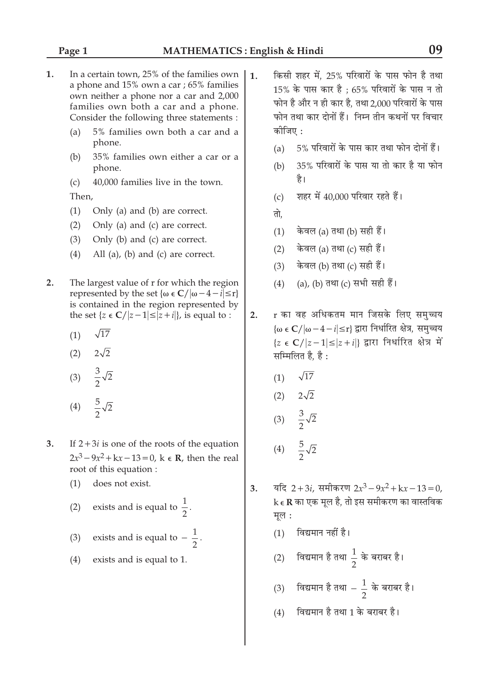- 1. In a certain town, 25% of the families own a phone and 15% own a car; 65% families own neither a phone nor a car and 2,000 families own both a car and a phone. Consider the following three statements :
	- 5% families own both a car and a  $(a)$ phone.
	- $(b)$ 35% families own either a car or a phone.
	- 40,000 families live in the town.  $(c)$ Then.
	- $(1)$ Only (a) and (b) are correct.
	- $(2)$ Only (a) and (c) are correct.
	- Only (b) and (c) are correct.  $(3)$
	- $(4)$ All (a), (b) and (c) are correct.
- $2.$ The largest value of r for which the region represented by the set { $\omega \in C/|\omega - 4 - i| \leq r$ } is contained in the region represented by the set  $\{z \in \mathbb{C}/|z-1| \leq |z+i|\}$ , is equal to :
	- $\sqrt{17}$  $(1)$
	- (2)  $2\sqrt{2}$
	- (3)  $\frac{3}{2}\sqrt{2}$
	- $\frac{5}{2}\sqrt{2}$  $(4)$
- $3<sub>1</sub>$ If  $2+3i$  is one of the roots of the equation  $2x^3 - 9x^2 + kx - 13 = 0$ , k  $\in \mathbb{R}$ , then the real root of this equation :
	- does not exist.  $(1)$
	- exists and is equal to  $\frac{1}{2}$ .  $(2)$
	- exists and is equal to  $-\frac{1}{2}$ .  $(3)$
	- $(4)$ exists and is equal to 1.
- किसी शहर में. 25% परिवारों के पास फोन है तथा  $\mathbf{1}$ . 15% के पास कार है : 65% परिवारों के पास न तो फोन है और न ही कार है, तथा 2,000 परिवारों के पास फोन तथा कार दोनों हैं। निम्न तीन कथनों पर विचार कोजिए :
	- 5% परिवारों के पास कार तथा फोन दोनों हैं।  $(a)$
	- 35% परिवारों के पास या तो कार है या फोन  $(b)$ है।
	- शहर में 40,000 परिवार रहते हैं।  $(c)$
	- तो.
	- केवल (a) तथा (b) सही हैं।  $(1)$
	- केवल (a) तथा (c) सही हैं।  $(2)$
	- केवल (b) तथा (c) सही हैं।  $(3)$
	- (a), (b) तथा (c) सभी सही हैं।  $(4)$
- r का वह अधिकतम मान जिसके लिए समच्चय  $2.$  $\{\omega \in \mathbb{C}/|\omega - 4 - i| \leq r\}$  द्वारा निर्धारित क्षेत्र, समुच्चय  ${z \in C/|z-1| \leq |z+i|}$  द्वारा निर्धारित क्षेत्र में सम्मिलित है. है:
	- $\sqrt{17}$  $(1)$
	- $2\sqrt{2}$  $(2)$
	- $\frac{3}{2}\sqrt{2}$  $(3)$
	- $\frac{5}{2}\sqrt{2}$  $(4)$
- यदि 2+3*i*. समीकरण  $2x^3 9x^2 + kx 13 = 0$ .  $3.$  $k \in \mathbf{R}$  का एक मूल है, तो इस समीकरण का वास्तविक मूल :
	- विद्यमान नहीं है।  $(1)$
	- विद्यमान है तथा  $\frac{1}{2}$  के बराबर है।  $(2)$
	- (3) विद्यमान है तथा  $-\,\frac{1}{2}\,$  के बराबर है।
	- $(4)$  विद्यमान है तथा 1 के बराबर है।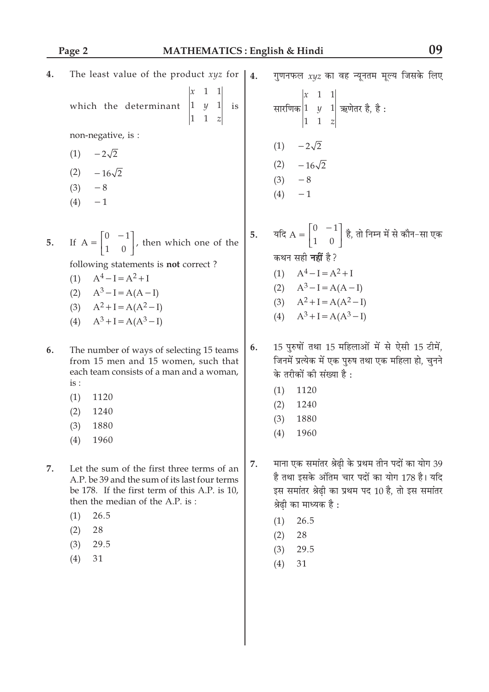| 4. | The least value of the product $xyz$ for                                                                                                                                                                                                 | 4. | गुणनफल $xyz$ का वह न्यूनतम मूल्य जिसके लिए                                                                                                                                                                                  |
|----|------------------------------------------------------------------------------------------------------------------------------------------------------------------------------------------------------------------------------------------|----|-----------------------------------------------------------------------------------------------------------------------------------------------------------------------------------------------------------------------------|
|    | 1<br>$\begin{vmatrix} 1 & y & 1 \\ 1 & 1 & z \end{vmatrix}$ is<br>which the determinant                                                                                                                                                  |    | सारणिक $\begin{vmatrix} x & 1 & 1 \\ 1 & y & 1 \\ 1 & 1 & z \end{vmatrix}$ ऋणेतर है, है:                                                                                                                                    |
|    | non-negative, is :<br>$(1) -2\sqrt{2}$<br>$(2)$ $-16\sqrt{2}$<br>$(3) -8$<br>$-1$<br>(4)                                                                                                                                                 |    | $(1) -2\sqrt{2}$<br>(2) $-16\sqrt{2}$<br>$(3) -8$<br>$(4) -1$                                                                                                                                                               |
| 5. | If $A = \begin{bmatrix} 0 & -1 \\ 1 & 0 \end{bmatrix}$ , then which one of the<br>following statements is not correct?<br>$A^4 - I = A^2 + I$<br>(1)<br>(2) $A^3-I = A(A-I)$<br>(3) $A^2 + I = A(A^2 - I)$<br>(4) $A^3 + I = A(A^3 - I)$ | 5. | यदि $A = \begin{bmatrix} 0 & -1 \\ 1 & 0 \end{bmatrix}$ है, तो निम्न में से कौन-सा एक<br>कथन सही <b>नहीं</b> है?<br>(1) $A^4-I = A^2+I$<br>(2) $A^3-I = A(A-I)$<br>(3) $A^2 + I = A(A^2 - I)$<br>(4) $A^3 + I = A(A^3 - I)$ |
| 6. | The number of ways of selecting 15 teams<br>from 15 men and 15 women, such that<br>each team consists of a man and a woman,<br>is:<br>1120<br>(1)<br>(2)<br>1240<br>1880<br>(3)<br>(4)<br>1960                                           | 6. | 15 पुरुषों तथा 15 महिलाओं में से ऐसी 15 टीमें,<br>जिनमें प्रत्येक में एक पुरुष तथा एक महिला हो, चुनने<br>के तरीकों की संख्या है :<br>1120<br>(1)<br>1240<br>(2)<br>1880<br>(3)<br>1960<br>(4)                               |
| 7. | Let the sum of the first three terms of an<br>A.P. be 39 and the sum of its last four terms<br>be 178. If the first term of this A.P. is 10,                                                                                             | 7. | माना एक समांतर श्रेढ़ी के प्रथम तीन पदों का योग 39<br>है तथा इसके अंतिम चार पदों का योग 178 है। यदि<br>इस समांतर श्रेढी का प्रथम पद 10 है. तो इस समांतर                                                                     |

then the median of the A.P. is:

- $(1)$ 26.5  $(2)$ 28
- $(3)$ 29.5
- 
- $(4)$  $31\,$
- ५ 10 ह, ২ č श्रेढ़ी का माध्यक है :
	- $(1)$ 26.5
	- $(2) 28$
	- $(3)$ 29.5
	- $(4)$  $31$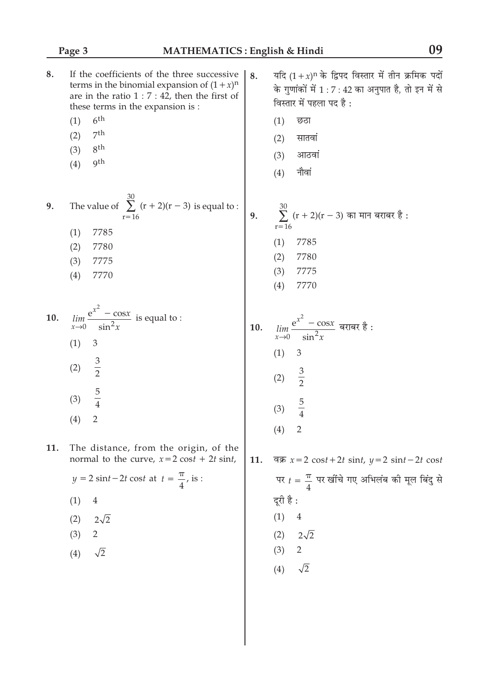| 8.  | If the coefficients of the three successive<br>terms in the binomial expansion of $(1 + x)^n$<br>are in the ratio $1:7:42$ , then the first of<br>these terms in the expansion is : | 8.  | यदि $(1+x)^n$ के द्विपद विस्तार में तीन क्रमिक पदों<br>के गुणांकों में 1 : 7 : 42 का अनुपात है, तो इन में से<br>विस्तार में पहला पद है: |
|-----|-------------------------------------------------------------------------------------------------------------------------------------------------------------------------------------|-----|-----------------------------------------------------------------------------------------------------------------------------------------|
|     | 6 <sup>th</sup><br>(1)                                                                                                                                                              |     | छठा<br>(1)                                                                                                                              |
|     | 7 <sup>th</sup><br>(2)                                                                                                                                                              |     | सातवां<br>(2)                                                                                                                           |
|     | 8 <sup>th</sup><br>(3)                                                                                                                                                              |     |                                                                                                                                         |
|     | gth<br>(4)                                                                                                                                                                          |     | आठवां<br>(3)<br>नौवां<br>(4)                                                                                                            |
| 9.  | The value of $\sum_{r=16}^{30} (r + 2)(r - 3)$ is equal to :                                                                                                                        | 9.  | $\sum_{r=0}^{30} (r + 2)(r - 3)$ का मान बराबर है :                                                                                      |
|     | 7785<br>(1)                                                                                                                                                                         |     | $r = 16$                                                                                                                                |
|     | 7780<br>(2)                                                                                                                                                                         |     | (1)<br>7785                                                                                                                             |
|     | (3)<br>7775                                                                                                                                                                         |     | (2)<br>7780                                                                                                                             |
|     | 7770<br>(4)                                                                                                                                                                         |     | (3)<br>7775                                                                                                                             |
|     |                                                                                                                                                                                     |     | (4)<br>7770                                                                                                                             |
| 10. | $\lim_{x\to 0} \frac{e^{x^2} - \cos x}{\sin^2 x}$ is equal to :                                                                                                                     | 10. | $\lim_{x\to 0} \frac{\mathrm{e}^{x^2} - \cos x}{\sin^2 x}$ बराबर है :                                                                   |
|     |                                                                                                                                                                                     |     |                                                                                                                                         |
|     | (1)<br>$\mathfrak{Z}$                                                                                                                                                               |     | (1)<br>$\mathfrak{Z}$                                                                                                                   |
|     | $rac{3}{2}$<br>(2)                                                                                                                                                                  |     |                                                                                                                                         |
|     |                                                                                                                                                                                     |     | $rac{3}{2}$<br>(2)                                                                                                                      |
|     | $\frac{5}{4}$<br>(3)                                                                                                                                                                |     |                                                                                                                                         |
|     |                                                                                                                                                                                     |     | $\frac{5}{4}$<br>(3)                                                                                                                    |
|     | $\overline{2}$<br>(4)                                                                                                                                                               |     | $\overline{2}$<br>(4)                                                                                                                   |
| 11. | The distance, from the origin, of the                                                                                                                                               |     |                                                                                                                                         |
|     | normal to the curve, $x=2 \cos t + 2t \sin t$ ,                                                                                                                                     | 11. | বরু $x=2 \cos t + 2t \sin t$ , $y=2 \sin t - 2t \cos t$                                                                                 |
|     | $y = 2 \sin t - 2t \cos t$ at $t = \frac{\pi}{4}$ , is :                                                                                                                            |     | पर $t = \frac{\pi}{4}$ पर खींचे गए अभिलंब की मूल बिंदु से                                                                               |
|     | (1)<br>$\overline{4}$                                                                                                                                                               |     | दूरी है :                                                                                                                               |
|     | $2\sqrt{2}$<br>(2)                                                                                                                                                                  |     | (1)<br>$\overline{4}$                                                                                                                   |
|     | 2<br>(3)                                                                                                                                                                            |     | $(2)$ $2\sqrt{2}$                                                                                                                       |
|     | $\sqrt{2}$<br>(4)                                                                                                                                                                   |     | (3) 2                                                                                                                                   |
|     |                                                                                                                                                                                     |     | (4) $\sqrt{2}$                                                                                                                          |
|     |                                                                                                                                                                                     |     |                                                                                                                                         |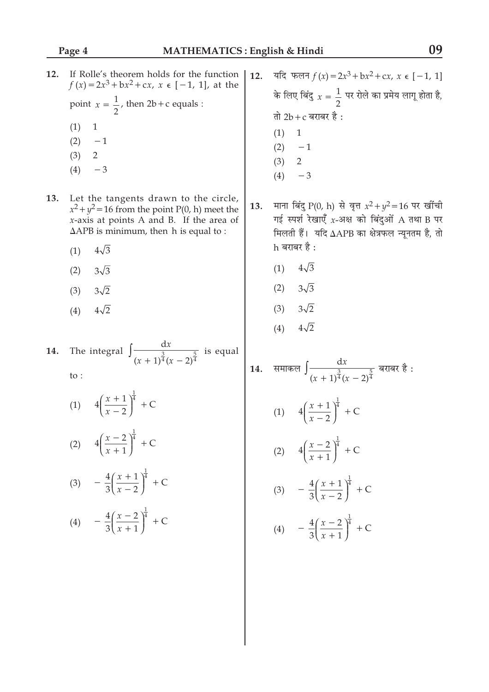- $12.$ If Rolle's theorem holds for the function यदि फलन  $f(x) = 2x^3 + bx^2 + cx$ ,  $x \in [-1, 1]$  $12.$  $f(x) = 2x^3 + bx^2 + cx$ ,  $x \in [-1, 1]$ , at the के लिए बिंदु  $x=\frac{1}{2}$  पर रोले का प्रमेय लागू होता है, point  $x = \frac{1}{2}$ , then 2b + c equals : तो  $2b+c$  बराबर है :  $(1)$  $\mathbf{1}$  $(1)$  $\mathbf{1}$  $(2)$  $-1$  $(2)$  $-1$  $(3)$  $\overline{2}$  $(3)$  $\overline{2}$  $(4)$  $-3$  $(4)$  $-3$ 13. Let the tangents drawn to the circle, माना बिंदु P(0, h) से वृत्त  $x^2 + y^2 = 16$  पर खींची 13.  $x^2 + y^2 = 16$  from the point P(0, h) meet the गई स्पर्श रेखाएँ  $x$ -अक्ष को बिंदुओं A तथा B पर  $x$ -axis at points A and B. If the area of  $\triangle APB$  is minimum, then h is equal to : मिलती हैं। यदि ∆APB का क्षेत्रफल न्यूनतम है, तो  $h$  बराबर है :  $4\sqrt{3}$  $(1)$  $4\sqrt{3}$  $(1)$  $3\sqrt{3}$  $(2)$  $3\sqrt{3}$  $(2)$  $3\sqrt{2}$  $(3)$  $3\sqrt{2}$  $(3)$  $4\sqrt{2}$  $(4)$  $4\sqrt{2}$  $(4)$ The integral  $\int \frac{dx}{(x+1)^{\frac{3}{4}}(x-2)^{\frac{5}{4}}}$  is equal 14. समाकल  $\int \frac{dx}{(x+1)^{\frac{3}{4}}(x-2)^{\frac{5}{4}}}$  बराबर है : 14. to: (1)  $4\left(\frac{x+1}{x-2}\right)^{\frac{1}{4}} + C$ (1)  $4\left(\frac{x+1}{x-2}\right)^{\frac{1}{4}} + C$ (2)  $4\left(\frac{x-2}{x+1}\right)^{\frac{1}{4}} + C$ (2)  $4\left(\frac{x-2}{x+1}\right)^{\frac{1}{4}} + C$ (3)  $-\frac{4}{3} \left( \frac{x+1}{x-2} \right)^{\frac{1}{4}} + C$ (3)  $-\frac{4}{3} \left( \frac{x+1}{x-2} \right)^{\frac{1}{4}} + C$ 
	- (4)  $-\frac{4}{3} \left( \frac{x-2}{x+1} \right)^{\frac{1}{4}} + C$

(4)  $-\frac{4}{3} \left( \frac{x-2}{x+1} \right)^{\frac{1}{4}} + C$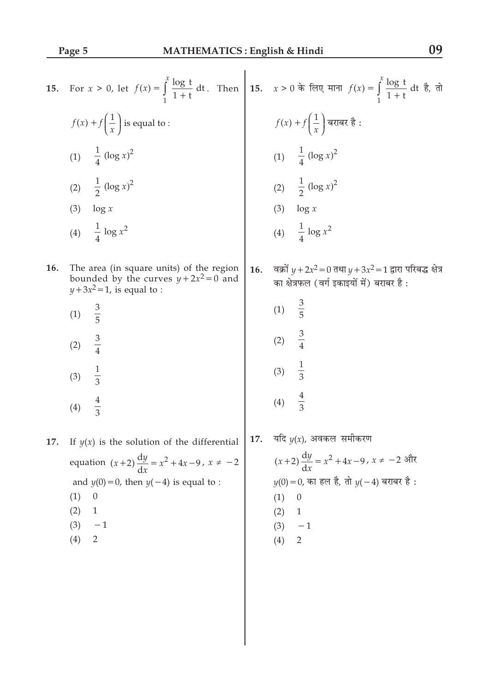| 15. | For $x > 0$ , let $f(x) = \int_{1}^{x} \frac{\log t}{1+t} dt$ . Then 15. $x > 0$ के लिए माना $f(x) = \int_{1}^{x} \frac{\log t}{1+t} dt$ है, तो |     |                                                                                                              |
|-----|-------------------------------------------------------------------------------------------------------------------------------------------------|-----|--------------------------------------------------------------------------------------------------------------|
|     | $f(x) + f\left(\frac{1}{x}\right)$ is equal to :                                                                                                |     | $f(x) + f\left(\frac{1}{x}\right)$ बराबर है :                                                                |
|     | (1) $\frac{1}{4} (\log x)^2$                                                                                                                    |     | (1) $\frac{1}{4} (\log x)^2$                                                                                 |
|     | (2) $\frac{1}{2} (\log x)^2$                                                                                                                    |     | (2) $\frac{1}{2} (\log x)^2$                                                                                 |
|     | $\log x$<br>(3)                                                                                                                                 |     | $(3)$ $\log x$                                                                                               |
|     | (4) $\frac{1}{4} \log x^2$                                                                                                                      |     | (4) $\frac{1}{4} \log x^2$                                                                                   |
| 16. | The area (in square units) of the region<br>bounded by the curves $y + 2x^2 = 0$ and<br>$y+3x^2=1$ , is equal to :                              | 16. | वक्रों $y + 2x^2 = 0$ तथा $y + 3x^2 = 1$ द्वारा परिबद्ध क्षेत्र<br>का क्षेत्रफल (वर्ग इकाइयों में) बराबर है: |
|     | $\frac{3}{5}$<br>(1)                                                                                                                            |     | $\frac{3}{5}$<br>(1)                                                                                         |
|     | $rac{3}{4}$<br>(2)                                                                                                                              |     | $\frac{3}{4}$<br>(2)                                                                                         |
|     | $\frac{1}{3}$<br>(3)                                                                                                                            |     | $\frac{1}{3}$<br>(3)                                                                                         |
|     | $\frac{4}{3}$<br>(4)                                                                                                                            |     | $\frac{4}{3}$<br>(4)                                                                                         |
| 17. | If $y(x)$ is the solution of the differential                                                                                                   | 17. | यदि $y(x)$ , अवकल समीकरण                                                                                     |
|     | equation $(x+2)\frac{dy}{dx} = x^2 + 4x - 9$ , $x \neq -2$                                                                                      |     | $(x+2)\frac{dy}{dx} = x^2 + 4x - 9$ , $x ≠ -2$ और                                                            |
|     | and $y(0) = 0$ , then $y(-4)$ is equal to :                                                                                                     |     | $y(0) = 0$ , का हल है, तो $y(-4)$ बराबर है:                                                                  |
|     | $\theta$<br>(1)                                                                                                                                 |     | $\theta$<br>(1)                                                                                              |
|     | (2)<br>$\mathbf{1}$                                                                                                                             |     | $\mathbf{1}$<br>(2)                                                                                          |
|     | (3)<br>$-1$                                                                                                                                     |     | (3)<br>$-1$                                                                                                  |
|     | $\overline{2}$<br>(4)                                                                                                                           |     | (4)<br>$\overline{2}$                                                                                        |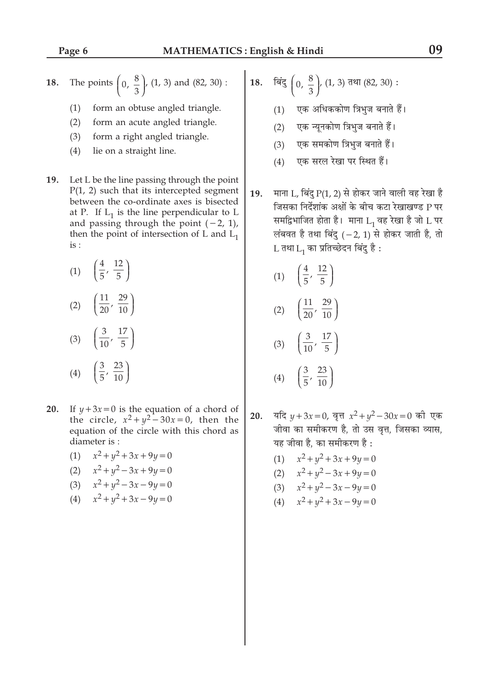**18.** The points 
$$
\left(0, \frac{8}{3}\right)
$$
, (1, 3) and (82, 30):

- $(1)$ form an obtuse angled triangle.
- $(2)$ form an acute angled triangle.
- $(3)$ form a right angled triangle.
- $(4)$ lie on a straight line.
- 19. Let L be the line passing through the point  $P(1, 2)$  such that its intercepted segment between the co-ordinate axes is bisected at P. If  $L_1$  is the line perpendicular to L and passing through the point  $(-2, 1)$ , then the point of intersection of L and  $L_1$  $is:$ 
	- (1)  $\left(\frac{4}{5}, \frac{12}{5}\right)$ (2)  $\left(\frac{11}{20}, \frac{29}{10}\right)$
	- $\left(\frac{3}{10},\frac{17}{5}\right)$  $(3)$  $\left(\frac{3}{5}, \frac{23}{10}\right)$  $(4)$
- If  $y+3x=0$  is the equation of a chord of 20. the circle,  $x^2 + y^2 - 30x = 0$ , then the equation of the circle with this chord as diameter is:
	- (1)  $x^2 + y^2 + 3x + 9y = 0$ (2)  $x^2 + y^2 - 3x + 9y = 0$ (3)  $x^2 + y^2 - 3x - 9y = 0$
	- (4)  $x^2 + y^2 + 3x 9y = 0$
- बिंदु  $\left(0, \frac{8}{3}\right)$ ,  $(1, 3)$  तथा  $(82, 30)$ : 18.
	- (1) एक अधिककोण त्रिभुज बनाते हैं।
	- $(2)$ एक न्यूनकोण त्रिभुज बनाते हैं।
	- एक समकोण त्रिभुज बनाते हैं।  $(3)$
	- एक सरल रेखा पर स्थित हैं।  $(4)$
- माना L, बिंदु P(1, 2) से होकर जाने वाली वह रेखा है 19. जिसका निर्देशांक अक्षों के बीच कटा रेखाखण्ड P पर समद्विभाजित होता है। माना  $L_1$  वह रेखा है जो L पर लंबवत है तथा बिंदु  $(-2, 1)$  से होकर जाती है, तो L तथा L<sub>1</sub> का प्रतिच्छेदन बिंदु है :
	- $\left(\frac{4}{5},\frac{12}{5}\right)$  $(1)$  $(2)$

$$
(3) \quad \left(\frac{3}{10}, \frac{17}{5}\right) (4) \quad \left(\frac{3}{5}, \frac{23}{10}\right)
$$

- यदि  $y + 3x = 0$ , वृत्त  $x^2 + y^2 30x = 0$  की एक 20. जीवा का समीकरण है. तो उस वत्त, जिसका व्यास, यह जीवा है, का समीकरण है:
	- (1)  $x^2 + y^2 + 3x + 9y = 0$
	- (2)  $x^2 + y^2 3x + 9y = 0$
	- (3)  $x^2 + y^2 3x 9y = 0$
	- (4)  $x^2 + y^2 + 3x 9y = 0$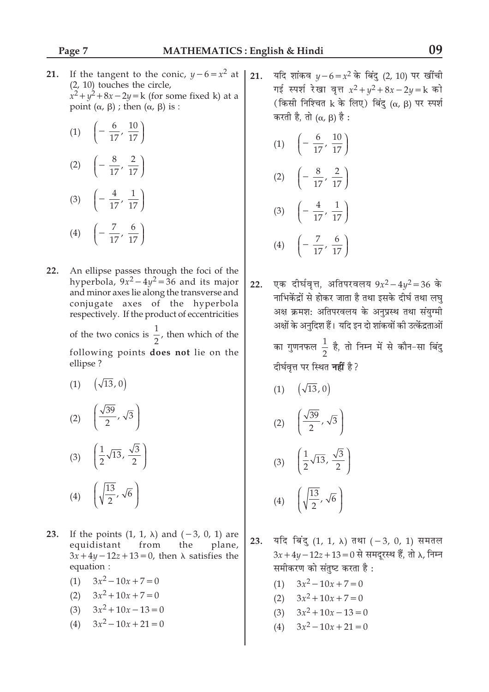21. If the tangent to the conic,  $y-6=x^2$  at  $(2, 10)$  touches the circle,  $x^2 + y^2 + 8x - 2y = k$  (for some fixed k) at a point  $(\alpha, \beta)$ ; then  $(\alpha, \beta)$  is:

(1) 
$$
\left(-\frac{6}{17}, \frac{10}{17}\right)
$$
  
\n(2)  $\left(-\frac{8}{17}, \frac{2}{17}\right)$   
\n(3)  $\left(-\frac{4}{17}, \frac{1}{17}\right)$   
\n(4)  $\left(-\frac{7}{17}, \frac{6}{17}\right)$ 

- 22. An ellipse passes through the foci of the hyperbola,  $9x^2 - 4y^2 = 36$  and its major and minor axes lie along the transverse and conjugate axes of the hyperbola respectively. If the product of eccentricities of the two conics is  $\frac{1}{2}$ , then which of the following points does not lie on the ellipse?
	- $\left(\sqrt{13},0\right)$  $(1)$

$$
(2) \quad \left(\frac{\sqrt{39}}{2}, \sqrt{3}\right)
$$
\n
$$
(3) \quad \left(\frac{1}{2}\sqrt{13}, \frac{\sqrt{3}}{2}\right)
$$
\n
$$
(4) \quad \left(\sqrt{\frac{13}{2}}, \sqrt{6}\right)
$$

- 23. If the points  $(1, 1, \lambda)$  and  $(-3, 0, 1)$  are plane, equidistant from the  $3x+4y-12z+13=0$ , then  $\lambda$  satisfies the equation :
	- $3x^2-10x+7=0$  $(1)$
	- $3x^2 + 10x + 7 = 0$  $(2)$
	- (3)  $3x^2 + 10x 13 = 0$
	- $3x^2-10x+21=0$  $(4)$

यदि शांकव  $y - 6 = x^2$  के बिंदु (2, 10) पर खींची  $21.$ गई स्पर्श रेखा वृत्त  $x^2 + y^2 + 8x - 2y = k$  को (किसी निश्चित k के लिए) बिंदु ( $\alpha$ ,  $\beta$ ) पर स्पर्श करती है, तो  $(\alpha, \beta)$  है:

(1) 
$$
\left(-\frac{6}{17}, \frac{10}{17}\right)
$$
  
\n(2)  $\left(-\frac{8}{17}, \frac{2}{17}\right)$   
\n(3)  $\left(-\frac{4}{17}, \frac{1}{17}\right)$   
\n(4)  $\left(-\frac{7}{17}, \frac{6}{17}\right)$ 

एक दीर्घवृत्त, अतिपरवलय  $9x^2 - 4y^2 = 36$  के  $22.$ नाभिकेंद्रों से होकर जाता है तथा इसके दीर्घ तथा लघु अक्ष क्रमश: अतिपरवलय के अनुप्रस्थ तथा संयुग्मी अक्षों के अनुदिश हैं। यदि इन दो शांकवों की उत्केंद्रताओं

> का गुणनफल  $\frac{1}{2}$  है, तो निम्न में से कौन-सा बिंदु दीर्घवृत्त पर स्थित **नहीं** है ?

 $(\sqrt{13}, 0)$  $(1)$  $\sqrt{20}$ 

$$
(2) \left( \frac{\sqrt{39}}{2}, \sqrt{3} \right)
$$

(3) 
$$
\left(\frac{1}{2}\sqrt{13}, \frac{\sqrt{3}}{2}\right)
$$
  
(4)  $\left(\sqrt{\frac{13}{2}}, \sqrt{6}\right)$ 

यदि बिंदु  $(1, 1, \lambda)$  तथा  $(-3, 0, 1)$  समतल 23.  $3x + 4y - 12z + 13 = 0$  से समदूरस्थ हैं, तो λ, निम्न समीकरण को संतुष्ट करता है:

- (1)  $3x^2-10x+7=0$
- (2)  $3x^2 + 10x + 7 = 0$
- (3)  $3x^2 + 10x 13 = 0$
- $3x^2-10x+21=0$  $(4)$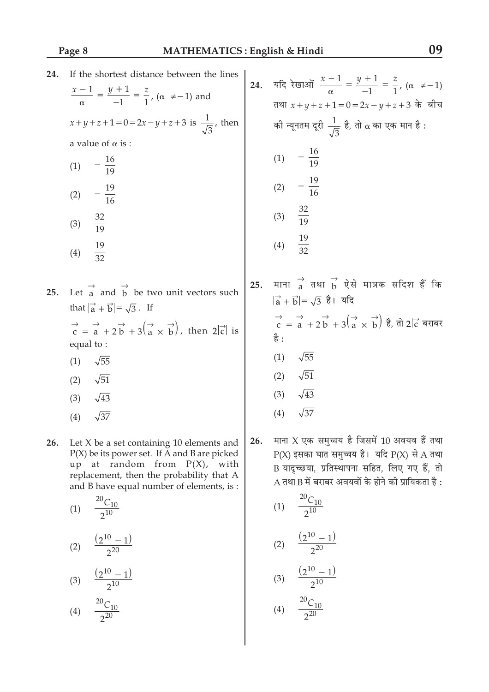| 24. | If the shortest distance between the lines<br>$\frac{x-1}{\alpha} = \frac{y+1}{-1} = \frac{z}{1}$ , ( $\alpha \neq -1$ ) and<br>$x+y+z+1=0$ = 2x - y + z + 3 is $\frac{1}{\sqrt{3}}$ , then<br>a value of $\alpha$ is :<br>$-\frac{16}{19}$<br>(1)<br>$-\frac{19}{16}$<br>(2)<br>$\frac{32}{19}$<br>(3)<br>$\frac{19}{32}$<br>(4)                                                    | 24. | यदि रेखाओं $\frac{x-1}{\alpha} = \frac{y+1}{-1} = \frac{z}{1}$ , ( $\alpha ≠ -1$ )<br>तथा $x + y + z + 1 = 0 = 2x - y + z + 3$ के बीच<br>को न्यूनतम दूरी $\frac{1}{\sqrt{3}}$ है, तो α का एक मान है :<br>(1) $-\frac{16}{19}$<br>(2) $-\frac{19}{16}$<br>(3) $\frac{32}{19}$<br>$\frac{19}{32}$<br>(4)          |
|-----|--------------------------------------------------------------------------------------------------------------------------------------------------------------------------------------------------------------------------------------------------------------------------------------------------------------------------------------------------------------------------------------|-----|-----------------------------------------------------------------------------------------------------------------------------------------------------------------------------------------------------------------------------------------------------------------------------------------------------------------|
| 25. | Let $\overrightarrow{a}$ and $\overrightarrow{b}$ be two unit vectors such<br>that $ \vec{a} + \vec{b}  = \sqrt{3}$ . If<br>$\overrightarrow{c} = \overrightarrow{a} + 2\overrightarrow{b} + 3(\overrightarrow{a} \times \overrightarrow{b})$ , then $2 \overrightarrow{c} $ is<br>equal to:<br>$\sqrt{55}$<br>(1)<br>$\sqrt{51}$<br>(2)<br>$\sqrt{43}$<br>(3)<br>$\sqrt{37}$<br>(4) | 25. | माना $\overrightarrow{a}$ तथा $\overrightarrow{b}$ ऐसे मात्रक सदिश हैं कि<br>$ \vec{a} + \vec{b}  = \sqrt{3}$ है। यदि<br>$\overrightarrow{c}$ = a + 2 b + 3( $\overrightarrow{a}$ $\times$ b) है, तो 2 टं बराबर<br>है :<br>$\sqrt{55}$<br>(1)<br>$\sqrt{51}$<br>(2)<br>$\sqrt{43}$<br>(3)<br>$\sqrt{37}$<br>(4) |
| 26. | Let $X$ be a set containing 10 elements and<br>$P(X)$ be its power set. If A and B are picked<br>up at random from $P(X)$ , with                                                                                                                                                                                                                                                     | 26. | माना X एक समुच्चय है जिसमें 10 अवयव हैं तथा<br>$P(X)$ इसका घात समुच्चय है। यदि $P(X)$ से A तथा<br>B यादृच्छया, प्रतिस्थापना सहित, लिए गए हैं, तो                                                                                                                                                                |

 $A$  तथा B में बराबर अवयवों के होने की प्रायिकता है:

(1)  $\frac{20C_{10}}{2^{10}}$ 

(2)  $\frac{(2^{10}-1)}{2^{20}}$ 

(3)  $\frac{(2^{10} - 1)}{2^{10}}$ <br>(4)  $\frac{^{20}C_{10}}{2^{20}}$ 

 $\mathbf{u}$ replacement, then the probability that A and B have equal number of elements, is :  $20 \sim$ 

$$
(1) \quad \frac{^{20}C_{10}}{2^{10}}
$$

$$
(2) \quad \frac{(2^{10}-1)}{2^{20}}
$$

$$
(3) \quad \frac{(2^{10}-1)}{2^{10}}
$$

$$
(4) \quad \frac{^{20}C_{10}}{2^{20}}
$$